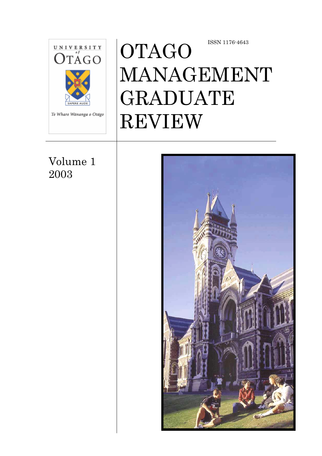

Volume 1 2003

# OTAGO MANAGEMENT GRADUATE REVIEW ISSN 1176-4643

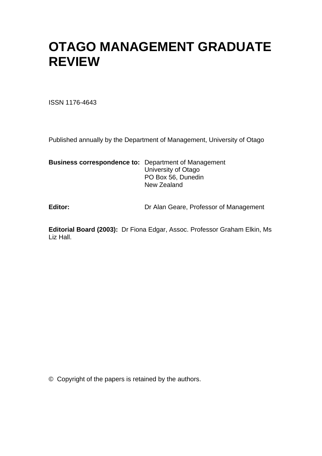# **OTAGO MANAGEMENT GRADUATE REVIEW**

ISSN 1176-4643

Published annually by the Department of Management, University of Otago

**Business correspondence to:** Department of Management University of Otago PO Box 56, Dunedin New Zealand

Editor: **Editor: Dr Alan Geare, Professor of Management** 

**Editorial Board (2003):** Dr Fiona Edgar, Assoc. Professor Graham Elkin, Ms Liz Hall.

© Copyright of the papers is retained by the authors.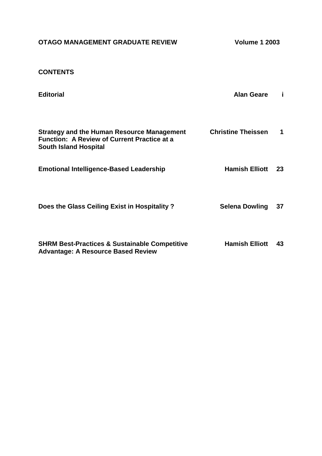| OTAGO MANAGEMENT GRADUATE REVIEW |
|----------------------------------|
|----------------------------------|

**Volume 1 2003** 

### **CONTENTS**

| <b>Editorial</b>                                                                                                                        | <b>Alan Geare</b>         | Ī  |
|-----------------------------------------------------------------------------------------------------------------------------------------|---------------------------|----|
| <b>Strategy and the Human Resource Management</b><br><b>Function: A Review of Current Practice at a</b><br><b>South Island Hospital</b> | <b>Christine Theissen</b> | 1  |
| <b>Emotional Intelligence-Based Leadership</b>                                                                                          | <b>Hamish Elliott</b>     | 23 |
| Does the Glass Ceiling Exist in Hospitality?                                                                                            | <b>Selena Dowling</b>     | 37 |
| <b>SHRM Best-Practices &amp; Sustainable Competitive</b>                                                                                | <b>Hamish Elliott</b>     | 43 |

**Advantage: A Resource Based Review**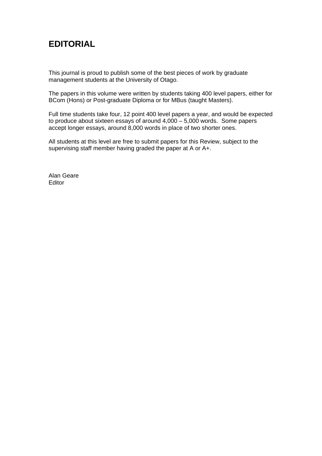# **EDITORIAL**

This journal is proud to publish some of the best pieces of work by graduate management students at the University of Otago.

The papers in this volume were written by students taking 400 level papers, either for BCom (Hons) or Post-graduate Diploma or for MBus (taught Masters).

Full time students take four, 12 point 400 level papers a year, and would be expected to produce about sixteen essays of around 4,000 – 5,000 words. Some papers accept longer essays, around 8,000 words in place of two shorter ones.

All students at this level are free to submit papers for this Review, subject to the supervising staff member having graded the paper at A or A+.

Alan Geare Editor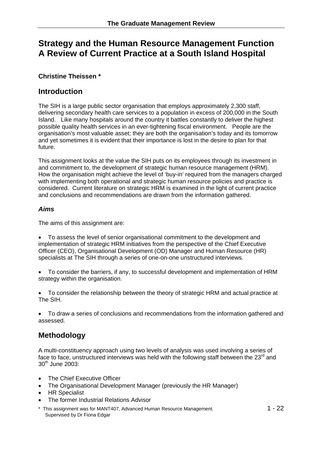# **Strategy and the Human Resource Management Function A Review of Current Practice at a South Island Hospital**

#### **Christine Theissen \***

### **Introduction**

The SIH is a large public sector organisation that employs approximately 2,300 staff, delivering secondary health care services to a population in excess of 200,000 in the South Island. Like many hospitals around the country it battles constantly to deliver the highest possible quality health services in an ever-tightening fiscal environment. People are the organisation's most valuable asset; they are both the organisation's today and its tomorrow and yet sometimes it is evident that their importance is lost in the desire to plan for that future.

This assignment looks at the value the SIH puts on its employees through its investment in and commitment to, the development of strategic human resource management (HRM). How the organisation might achieve the level of 'buy-in' required from the managers charged with implementing both operational and strategic human resource policies and practice is considered. Current literature on strategic HRM is examined in the light of current practice and conclusions and recommendations are drawn from the information gathered.

#### *Aims*

The aims of this assignment are:

- To assess the level of senior organisational commitment to the development and implementation of strategic HRM initiatives from the perspective of the Chief Executive Officer (CEO), Organisational Development (OD) Manager and Human Resource (HR) specialists at The SIH through a series of one-on-one unstructured interviews.
- To consider the barriers, if any, to successful development and implementation of HRM strategy within the organisation.
- To consider the relationship between the theory of strategic HRM and actual practice at The SIH.
- To draw a series of conclusions and recommendations from the information gathered and assessed.

# **Methodology**

A multi-constituency approach using two levels of analysis was used involving a series of face to face, unstructured interviews was held with the following staff between the  $23<sup>rd</sup>$  and 30th June 2003:

- The Chief Executive Officer
- The Organisational Development Manager (previously the HR Manager)
- HR Specialist
- The former Industrial Relations Advisor
- \* This assignment was for MANT407, Advanced Human Resource Management. 1 1 22 Supervised by Dr Fiona Edgar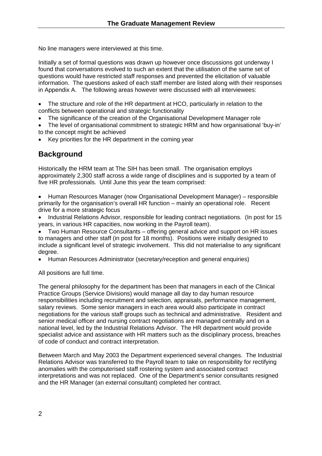No line managers were interviewed at this time.

Initially a set of formal questions was drawn up however once discussions got underway I found that conversations evolved to such an extent that the utilisation of the same set of questions would have restricted staff responses and prevented the elicitation of valuable information. The questions asked of each staff member are listed along with their responses in Appendix A. The following areas however were discussed with all interviewees:

- The structure and role of the HR department at HCO, particularly in relation to the conflicts between operational and strategic functionality
- The significance of the creation of the Organisational Development Manager role
- The level of organisational commitment to strategic HRM and how organisational 'buy-in' to the concept might be achieved
- Key priorities for the HR department in the coming year

# **Background**

Historically the HRM team at The SIH has been small. The organisation employs approximately 2,300 staff across a wide range of disciplines and is supported by a team of five HR professionals. Until June this year the team comprised:

• Human Resources Manager (now Organisational Development Manager) – responsible primarily for the organisation's overall HR function – mainly an operational role. Recent drive for a more strategic focus

• Industrial Relations Advisor, responsible for leading contract negotiations. (In post for 15 years, in various HR capacities, now working in the Payroll team).

• Two Human Resource Consultants – offering general advice and support on HR issues to managers and other staff (in post for 18 months). Positions were initially designed to include a significant level of strategic involvement. This did not materialise to any significant degree.

• Human Resources Administrator (secretary/reception and general enquiries)

All positions are full time.

The general philosophy for the department has been that managers in each of the Clinical Practice Groups (Service Divisions) would manage all day to day human resource responsibilities including recruitment and selection, appraisals, performance management, salary reviews. Some senior managers in each area would also participate in contract negotiations for the various staff groups such as technical and administrative. Resident and senior medical officer and nursing contract negotiations are managed centrally and on a national level, led by the Industrial Relations Advisor. The HR department would provide specialist advice and assistance with HR matters such as the disciplinary process, breaches of code of conduct and contract interpretation.

Between March and May 2003 the Department experienced several changes. The Industrial Relations Advisor was transferred to the Payroll team to take on responsibility for rectifying anomalies with the computerised staff rostering system and associated contract interpretations and was not replaced. One of the Department's senior consultants resigned and the HR Manager (an external consultant) completed her contract.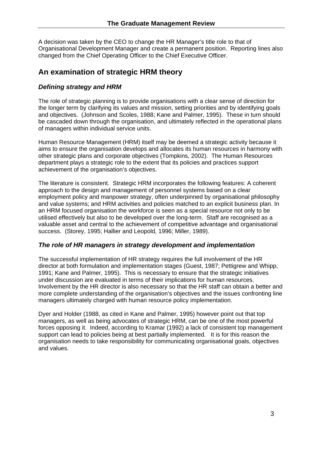A decision was taken by the CEO to change the HR Manager's title role to that of Organisational Development Manager and create a permanent position. Reporting lines also changed from the Chief Operating Officer to the Chief Executive Officer.

# **An examination of strategic HRM theory**

#### *Defining strategy and HRM*

The role of strategic planning is to provide organisations with a clear sense of direction for the longer term by clarifying its values and mission, setting priorities and by identifying goals and objectives. (Johnson and Scoles, 1988; Kane and Palmer, 1995). These in turn should be cascaded down through the organisation, and ultimately reflected in the operational plans of managers within individual service units.

Human Resource Management (HRM) itself may be deemed a strategic activity because it aims to ensure the organisation develops and allocates its human resources in harmony with other strategic plans and corporate objectives (Tompkins, 2002). The Human Resources department plays a strategic role to the extent that its policies and practices support achievement of the organisation's objectives.

The literature is consistent. Strategic HRM incorporates the following features: A coherent approach to the design and management of personnel systems based on a clear employment policy and manpower strategy, often underpinned by organisational philosophy and value systems; and HRM activities and policies matched to an explicit business plan. In an HRM focused organisation the workforce is seen as a special resource not only to be utilised effectively but also to be developed over the long-term. Staff are recognised as a valuable asset and central to the achievement of competitive advantage and organisational success. (Storey, 1995; Hallier and Leopold, 1996; Miller, 1989).

#### *The role of HR managers in strategy development and implementation*

The successful implementation of HR strategy requires the full involvement of the HR director at both formulation and implementation stages (Guest, 1987; Pettigrew and Whipp, 1991; Kane and Palmer, 1995). This is necessary to ensure that the strategic initiatives under discussion are evaluated in terms of their implications for human resources. Involvement by the HR director is also necessary so that the HR staff can obtain a better and more complete understanding of the organisation's objectives and the issues confronting line managers ultimately charged with human resource policy implementation.

Dyer and Holder (1988, as cited in Kane and Palmer, 1995) however point out that top managers, as well as being advocates of strategic HRM, can be one of the most powerful forces opposing it. Indeed, according to Kramar (1992) a lack of consistent top management support can lead to policies being at best partially implemented. It is for this reason the organisation needs to take responsibility for communicating organisational goals, objectives and values.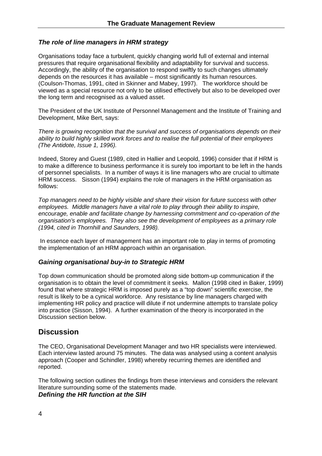#### *The role of line managers in HRM strategy*

Organisations today face a turbulent, quickly changing world full of external and internal pressures that require organisational flexibility and adaptability for survival and success. Accordingly, the ability of the organisation to respond swiftly to such changes ultimately depends on the resources it has available – most significantly its human resources. (Coulson-Thomas, 1991, cited in Skinner and Mabey, 1997). The workforce should be viewed as a special resource not only to be utilised effectively but also to be developed over the long term and recognised as a valued asset.

The President of the UK Institute of Personnel Management and the Institute of Training and Development, Mike Bert, says:

*There is growing recognition that the survival and success of organisations depends on their ability to build highly skilled work forces and to realise the full potential of their employees (The Antidote, Issue 1, 1996).* 

Indeed, Storey and Guest (1989, cited in Hallier and Leopold, 1996) consider that if HRM is to make a difference to business performance it is surely too important to be left in the hands of personnel specialists. In a number of ways it is line managers who are crucial to ultimate HRM success. Sisson (1994) explains the role of managers in the HRM organisation as follows:

*Top managers need to be highly visible and share their vision for future success with other employees. Middle managers have a vital role to play through their ability to inspire, encourage, enable and facilitate change by harnessing commitment and co-operation of the organisation's employees. They also see the development of employees as a primary role (1994, cited in Thornhill and Saunders, 1998).* 

 In essence each layer of management has an important role to play in terms of promoting the implementation of an HRM approach within an organisation.

#### *Gaining organisational buy-in to Strategic HRM*

Top down communication should be promoted along side bottom-up communication if the organisation is to obtain the level of commitment it seeks. Mallon (1998 cited in Baker, 1999) found that where strategic HRM is imposed purely as a "top down" scientific exercise, the result is likely to be a cynical workforce. Any resistance by line managers charged with implementing HR policy and practice will dilute if not undermine attempts to translate policy into practice (Sisson, 1994). A further examination of the theory is incorporated in the Discussion section below.

#### **Discussion**

The CEO, Organisational Development Manager and two HR specialists were interviewed. Each interview lasted around 75 minutes. The data was analysed using a content analysis approach (Cooper and Schindler, 1998) whereby recurring themes are identified and reported.

The following section outlines the findings from these interviews and considers the relevant literature surrounding some of the statements made. *Defining the HR function at the SIH*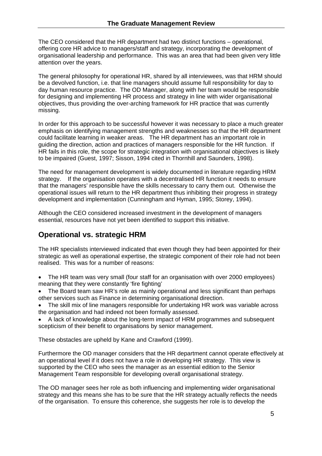The CEO considered that the HR department had two distinct functions – operational, offering core HR advice to managers/staff and strategy, incorporating the development of organisational leadership and performance. This was an area that had been given very little attention over the years.

The general philosophy for operational HR, shared by all interviewees, was that HRM should be a devolved function, i.e. that line managers should assume full responsibility for day to day human resource practice. The OD Manager, along with her team would be responsible for designing and implementing HR process and strategy in line with wider organisational objectives, thus providing the over-arching framework for HR practice that was currently missing.

In order for this approach to be successful however it was necessary to place a much greater emphasis on identifying management strengths and weaknesses so that the HR department could facilitate learning in weaker areas. The HR department has an important role in guiding the direction, action and practices of managers responsible for the HR function. If HR fails in this role, the scope for strategic integration with organisational objectives is likely to be impaired (Guest, 1997; Sisson, 1994 cited in Thornhill and Saunders, 1998).

The need for management development is widely documented in literature regarding HRM strategy. If the organisation operates with a decentralised HR function it needs to ensure that the managers' responsible have the skills necessary to carry them out. Otherwise the operational issues will return to the HR department thus inhibiting their progress in strategy development and implementation (Cunningham and Hyman, 1995; Storey, 1994).

Although the CEO considered increased investment in the development of managers essential, resources have not yet been identified to support this initiative.

# **Operational vs. strategic HRM**

The HR specialists interviewed indicated that even though they had been appointed for their strategic as well as operational expertise, the strategic component of their role had not been realised. This was for a number of reasons:

- The HR team was very small (four staff for an organisation with over 2000 employees) meaning that they were constantly 'fire fighting'
- The Board team saw HR's role as mainly operational and less significant than perhaps other services such as Finance in determining organisational direction.
- The skill mix of line managers responsible for undertaking HR work was variable across the organisation and had indeed not been formally assessed.
- A lack of knowledge about the long-term impact of HRM programmes and subsequent scepticism of their benefit to organisations by senior management.

These obstacles are upheld by Kane and Crawford (1999).

Furthermore the OD manager considers that the HR department cannot operate effectively at an operational level if it does not have a role in developing HR strategy. This view is supported by the CEO who sees the manager as an essential edition to the Senior Management Team responsible for developing overall organisational strategy.

The OD manager sees her role as both influencing and implementing wider organisational strategy and this means she has to be sure that the HR strategy actually reflects the needs of the organisation. To ensure this coherence, she suggests her role is to develop the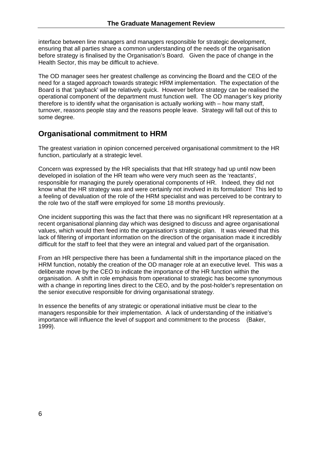interface between line managers and managers responsible for strategic development, ensuring that all parties share a common understanding of the needs of the organisation before strategy is finalised by the Organisation's Board. Given the pace of change in the Health Sector, this may be difficult to achieve.

The OD manager sees her greatest challenge as convincing the Board and the CEO of the need for a staged approach towards strategic HRM implementation. The expectation of the Board is that 'payback' will be relatively quick. However before strategy can be realised the operational component of the department must function well. The OD manager's key priority therefore is to identify what the organisation is actually working with – how many staff, turnover, reasons people stay and the reasons people leave. Strategy will fall out of this to some degree.

### **Organisational commitment to HRM**

The greatest variation in opinion concerned perceived organisational commitment to the HR function, particularly at a strategic level.

Concern was expressed by the HR specialists that that HR strategy had up until now been developed in isolation of the HR team who were very much seen as the 'reactants', responsible for managing the purely operational components of HR. Indeed, they did not know what the HR strategy was and were certainly not involved in its formulation! This led to a feeling of devaluation of the role of the HRM specialist and was perceived to be contrary to the role two of the staff were employed for some 18 months previously.

One incident supporting this was the fact that there was no significant HR representation at a recent organisational planning day which was designed to discuss and agree organisational values, which would then feed into the organisation's strategic plan. It was viewed that this lack of filtering of important information on the direction of the organisation made it incredibly difficult for the staff to feel that they were an integral and valued part of the organisation.

From an HR perspective there has been a fundamental shift in the importance placed on the HRM function, notably the creation of the OD manager role at an executive level. This was a deliberate move by the CEO to indicate the importance of the HR function within the organisation. A shift in role emphasis from operational to strategic has become synonymous with a change in reporting lines direct to the CEO, and by the post-holder's representation on the senior executive responsible for driving organisational strategy.

In essence the benefits of any strategic or operational initiative must be clear to the managers responsible for their implementation. A lack of understanding of the initiative's importance will influence the level of support and commitment to the process (Baker, 1999).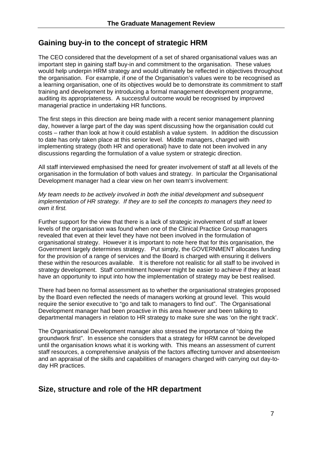### **Gaining buy-in to the concept of strategic HRM**

The CEO considered that the development of a set of shared organisational values was an important step in gaining staff buy-in and commitment to the organisation. These values would help underpin HRM strategy and would ultimately be reflected in objectives throughout the organisation. For example, if one of the Organisation's values were to be recognised as a learning organisation, one of its objectives would be to demonstrate its commitment to staff training and development by introducing a formal management development programme, auditing its appropriateness. A successful outcome would be recognised by improved managerial practice in undertaking HR functions.

The first steps in this direction are being made with a recent senior management planning day, however a large part of the day was spent discussing how the organisation could cut costs – rather than look at how it could establish a value system. In addition the discussion to date has only taken place at this senior level. Middle managers, charged with implementing strategy (both HR and operational) have to date not been involved in any discussions regarding the formulation of a value system or strategic direction.

All staff interviewed emphasised the need for greater involvement of staff at all levels of the organisation in the formulation of both values and strategy. In particular the Organisational Development manager had a clear view on her own team's involvement:

*My team needs to be actively involved in both the initial development and subsequent implementation of HR strategy. If they are to sell the concepts to managers they need to own it first.* 

Further support for the view that there is a lack of strategic involvement of staff at lower levels of the organisation was found when one of the Clinical Practice Group managers revealed that even at their level they have not been involved in the formulation of organisational strategy. However it is important to note here that for this organisation, the Government largely determines strategy. Put simply, the GOVERNMENT allocates funding for the provision of a range of services and the Board is charged with ensuring it delivers these within the resources available. It is therefore not realistic for all staff to be involved in strategy development. Staff commitment however might be easier to achieve if they at least have an opportunity to input into how the implementation of strategy may be best realised.

There had been no formal assessment as to whether the organisational strategies proposed by the Board even reflected the needs of managers working at ground level. This would require the senior executive to "go and talk to managers to find out". The Organisational Development manager had been proactive in this area however and been talking to departmental managers in relation to HR strategy to make sure she was 'on the right track'.

The Organisational Development manager also stressed the importance of "doing the groundwork first". In essence she considers that a strategy for HRM cannot be developed until the organisation knows what it is working with. This means an assessment of current staff resources, a comprehensive analysis of the factors affecting turnover and absenteeism and an appraisal of the skills and capabilities of managers charged with carrying out day-today HR practices.

### **Size, structure and role of the HR department**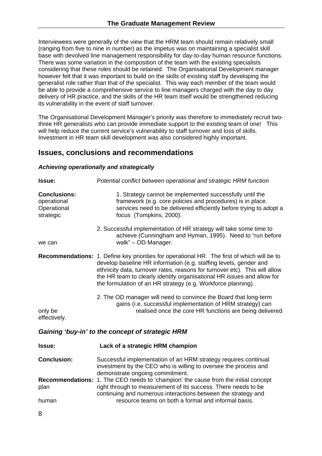Interviewees were generally of the view that the HRM team should remain relatively small (ranging from five to nine in number) as the impetus was on maintaining a specialist skill base with devolved line management responsibility for day-to-day human resource functions. There was some variation in the composition of the team with the existing specialists considering that these roles should be retained. The Organisational Development manager however felt that it was important to build on the skills of existing staff by developing the generalist role rather than that of the specialist. This way each member of the team would be able to provide a comprehensive service to line managers charged with the day to day delivery of HR practice, and the skills of the HR team itself would be strengthened reducing its vulnerability in the event of staff turnover.

The Organisational Development Manager's priority was therefore to immediately recruit twothree HR generalists who can provide immediate support to the existing team of one! This will help reduce the current service's vulnerability to staff turnover and loss of skills. Investment in HR team skill development was also considered highly important.

### **Issues, conclusions and recommendations**

#### *Achieving operationally and strategically*

| <b>Issue:</b>                                                  | Potential conflict between operational and strategic HRM function                                                                                                                                                                                                                                                                                                                               |  |  |
|----------------------------------------------------------------|-------------------------------------------------------------------------------------------------------------------------------------------------------------------------------------------------------------------------------------------------------------------------------------------------------------------------------------------------------------------------------------------------|--|--|
| <b>Conclusions:</b><br>operational<br>Operational<br>strategic | 1. Strategy cannot be implemented successfully until the<br>framework (e.g. core policies and procedures) is in place.<br>services need to be delivered efficiently before trying to adopt a<br>focus (Tompkins, 2000).                                                                                                                                                                         |  |  |
| we can                                                         | 2. Successful implementation of HR strategy will take some time to<br>achieve (Cunningham and Hyman, 1995). Need to "run before<br>walk" - OD Manager.                                                                                                                                                                                                                                          |  |  |
|                                                                | <b>Recommendations:</b> 1. Define key priorities for operational HR. The first of which will be to<br>develop baseline HR information (e.g. staffing levels, gender and<br>ethnicity data, turnover rates, reasons for turnover etc). This will allow<br>the HR team to clearly identify organisational HR issues and allow for<br>the formulation of an HR strategy (e.g. Workforce planning). |  |  |
| only be<br>effectively.                                        | 2. The OD manager will need to convince the Board that long-term<br>gains (i.e. successful implementation of HRM strategy) can<br>realised once the core HR functions are being delivered                                                                                                                                                                                                       |  |  |
|                                                                | Gaining 'buy-in' to the concept of strategic HRM                                                                                                                                                                                                                                                                                                                                                |  |  |
| Issue:                                                         | Lack of a strategic HRM champion                                                                                                                                                                                                                                                                                                                                                                |  |  |
| <b>Conclusion:</b>                                             | Successful implementation of an HRM strategy requires continual<br>investment by the CEO who is willing to oversee the process and<br>demonstrate ongoing commitment.                                                                                                                                                                                                                           |  |  |
| <b>Recommendations:</b><br>plan                                | 1. The CEO needs to 'champion' the cause from the initial concept<br>right through to measurement of its success. There needs to be                                                                                                                                                                                                                                                             |  |  |
|                                                                | continuing and numerous interactions between the strategy and                                                                                                                                                                                                                                                                                                                                   |  |  |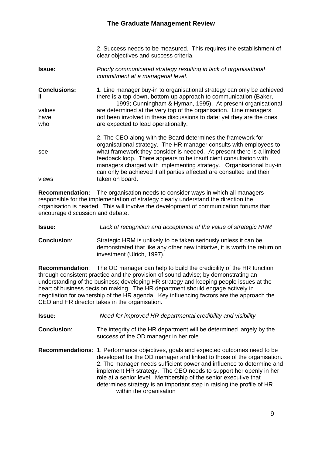2. Success needs to be measured. This requires the establishment of clear objectives and success criteria.

| <b>Issue:</b>       | Poorly communicated strategy resulting in lack of organisational<br>commitment at a managerial level. |
|---------------------|-------------------------------------------------------------------------------------------------------|
| <b>Conclusions:</b> | 1. Line manager buy-in to organisational strategy can only be achieved                                |
| if                  | there is a top-down, bottom-up approach to communication (Baker,                                      |
|                     | 1999; Cunningham & Hyman, 1995). At present organisational                                            |
| values              | are determined at the very top of the organisation. Line managers                                     |
| have                | not been involved in these discussions to date; yet they are the ones                                 |
| who                 | are expected to lead operationally.                                                                   |

 2. The CEO along with the Board determines the framework for organisational strategy. The HR manager consults with employees to see what framework they consider is needed. At present there is a limited feedback loop. There appears to be insufficient consultation with managers charged with implementing strategy. Organisational buy-in can only be achieved if all parties affected are consulted and their views taken on board.

**Recommendation:** The organisation needs to consider ways in which all managers responsible for the implementation of strategy clearly understand the direction the organisation is headed. This will involve the development of communication forums that encourage discussion and debate.

**Issue:** *Lack of recognition and acceptance of the value of strategic HRM* 

**Conclusion**: Strategic HRM is unlikely to be taken seriously unless it can be demonstrated that like any other new initiative, it is worth the return on investment (Ulrich, 1997).

**Recommendation**: The OD manager can help to build the credibility of the HR function through consistent practice and the provision of sound advise; by demonstrating an understanding of the business; developing HR strategy and keeping people issues at the heart of business decision making. The HR department should engage actively in negotiation for ownership of the HR agenda. Key influencing factors are the approach the CEO and HR director takes in the organisation.

| <b>Issue:</b>      | Need for improved HR departmental credibility and visibility                                                                                                                                                                                                                                                                                                                                                                                                                           |
|--------------------|----------------------------------------------------------------------------------------------------------------------------------------------------------------------------------------------------------------------------------------------------------------------------------------------------------------------------------------------------------------------------------------------------------------------------------------------------------------------------------------|
| <b>Conclusion:</b> | The integrity of the HR department will be determined largely by the<br>success of the OD manager in her role.                                                                                                                                                                                                                                                                                                                                                                         |
|                    | <b>Recommendations: 1. Performance objectives, goals and expected outcomes need to be</b><br>developed for the OD manager and linked to those of the organisation.<br>2. The manager needs sufficient power and influence to determine and<br>implement HR strategy. The CEO needs to support her openly in her<br>role at a senior level. Membership of the senior executive that<br>determines strategy is an important step in raising the profile of HR<br>within the organisation |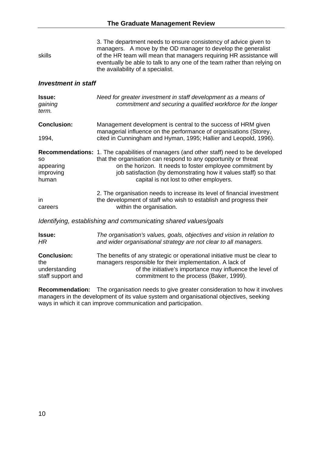| skills                                                          | 3. The department needs to ensure consistency of advice given to<br>managers. A move by the OD manager to develop the generalist<br>of the HR team will mean that managers requiring HR assistance will<br>eventually be able to talk to any one of the team rather than relying on<br>the availability of a specialist.                    |  |  |  |  |
|-----------------------------------------------------------------|---------------------------------------------------------------------------------------------------------------------------------------------------------------------------------------------------------------------------------------------------------------------------------------------------------------------------------------------|--|--|--|--|
| <b>Investment in staff</b>                                      |                                                                                                                                                                                                                                                                                                                                             |  |  |  |  |
| Issue:<br>gaining<br>term.                                      | Need for greater investment in staff development as a means of<br>commitment and securing a qualified workforce for the longer                                                                                                                                                                                                              |  |  |  |  |
| <b>Conclusion:</b>                                              | Management development is central to the success of HRM given<br>managerial influence on the performance of organisations (Storey,                                                                                                                                                                                                          |  |  |  |  |
| 1994,                                                           | cited in Cunningham and Hyman, 1995; Hallier and Leopold, 1996).                                                                                                                                                                                                                                                                            |  |  |  |  |
| <b>SO</b><br>appearing<br>improving<br>human                    | <b>Recommendations:</b> 1. The capabilities of managers (and other staff) need to be developed<br>that the organisation can respond to any opportunity or threat<br>on the horizon. It needs to foster employee commitment by<br>job satisfaction (by demonstrating how it values staff) so that<br>capital is not lost to other employers. |  |  |  |  |
| in<br>careers                                                   | 2. The organisation needs to increase its level of financial investment<br>the development of staff who wish to establish and progress their<br>within the organisation.                                                                                                                                                                    |  |  |  |  |
| Identifying, establishing and communicating shared values/goals |                                                                                                                                                                                                                                                                                                                                             |  |  |  |  |
| Issue:<br>HR                                                    | The organisation's values, goals, objectives and vision in relation to<br>and wider organisational strategy are not clear to all managers.                                                                                                                                                                                                  |  |  |  |  |
| <b>Conclusion:</b><br>the<br>understanding<br>staff support and | The benefits of any strategic or operational initiative must be clear to<br>managers responsible for their implementation. A lack of<br>of the initiative's importance may influence the level of<br>commitment to the process (Baker, 1999).                                                                                               |  |  |  |  |

**Recommendation:** The organisation needs to give greater consideration to how it involves managers in the development of its value system and organisational objectives, seeking ways in which it can improve communication and participation.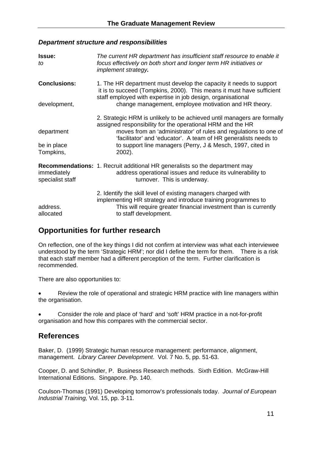#### *Department structure and responsibilities*

| Issue:<br>tΟ                           | The current HR department has insufficient staff resource to enable it<br>focus effectively on both short and longer term HR initiatives or<br>implement strategy.                                                                                                                                                                                   |  |  |  |  |
|----------------------------------------|------------------------------------------------------------------------------------------------------------------------------------------------------------------------------------------------------------------------------------------------------------------------------------------------------------------------------------------------------|--|--|--|--|
| <b>Conclusions:</b><br>development,    | 1. The HR department must develop the capacity it needs to support<br>it is to succeed (Tompkins, 2000). This means it must have sufficient<br>staff employed with expertise in job design, organisational<br>change management, employee motivation and HR theory.                                                                                  |  |  |  |  |
| department<br>be in place<br>Tompkins, | 2. Strategic HRM is unlikely to be achieved until managers are formally<br>assigned responsibility for the operational HRM and the HR<br>moves from an 'administrator' of rules and regulations to one of<br>'facilitator' and 'educator'. A team of HR generalists needs to<br>to support line managers (Perry, J & Mesch, 1997, cited in<br>2002). |  |  |  |  |
| immediately<br>specialist staff        | Recommendations: 1. Recruit additional HR generalists so the department may<br>address operational issues and reduce its vulnerability to<br>turnover. This is underway.                                                                                                                                                                             |  |  |  |  |
| address.<br>allocated                  | 2. Identify the skill level of existing managers charged with<br>implementing HR strategy and introduce training programmes to<br>This will require greater financial investment than is currently<br>to staff development.                                                                                                                          |  |  |  |  |

# **Opportunities for further research**

On reflection, one of the key things I did not confirm at interview was what each interviewee understood by the term 'Strategic HRM'; nor did I define the term for them. There is a risk that each staff member had a different perception of the term. Further clarification is recommended.

There are also opportunities to:

Review the role of operational and strategic HRM practice with line managers within the organisation.

• Consider the role and place of 'hard' and 'soft' HRM practice in a not-for-profit organisation and how this compares with the commercial sector.

# **References**

Baker, D. (1999) Strategic human resource management: performance, alignment, management. *Library Career Development*. Vol. 7 No. 5, pp. 51-63.

Cooper, D. and Schindler, P. Business Research methods. Sixth Edition. McGraw-Hill International Editions. Singapore. Pp. 140.

Coulson-Thomas (1991) Developing tomorrow's professionals today. *Journal of European Industrial Training,* Vol. 15, pp. 3-11.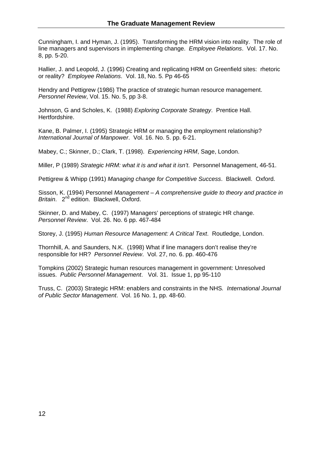Cunningham, I. and Hyman, J. (1995). Transforming the HRM vision into reality. The role of line managers and supervisors in implementing change. *Employee Relations*. Vol. 17. No. 8, pp. 5-20.

Hallier, J. and Leopold, J. (1996) Creating and replicating HRM on Greenfield sites: rhetoric or reality? *Employee Relations*. Vol. 18, No. 5. Pp 46-65

Hendry and Pettigrew (1986) The practice of strategic human resource management. *Personnel Review*, Vol. 15. No. 5, pp 3-8.

Johnson, G and Scholes, K. (1988) *Exploring Corporate Strategy*. Prentice Hall. Hertfordshire.

Kane, B. Palmer, I. (1995) Strategic HRM or managing the employment relationship? *International Journal of Manpower*. Vol. 16. No. 5. pp. 6-21.

Mabey, C.; Skinner, D.; Clark, T. (1998). *Experiencing HRM*, Sage, London.

Miller, P (1989) *Strategic HRM: what it is and what it isn't*. Personnel Management, 46-51.

Pettigrew & Whipp (1991) *Managing change for Competitive Success*. Blackwell. Oxford.

Sisson, K. (1994) Personnel *Management – A comprehensive guide to theory and practice in Britain.* 2<sup>nd</sup> edition. Blackwell, Oxford.

Skinner, D. and Mabey, C. (1997) Managers' perceptions of strategic HR change. *Personnel Review*. Vol. 26. No. 6 pp. 467-484

Storey, J. (1995) *Human Resource Management: A Critical Text*. Routledge, London.

Thornhill, A. and Saunders, N.K. (1998) What if line managers don't realise they're responsible for HR? *Personnel Review*. Vol. 27, no. 6. pp. 460-476

Tompkins (2002) Strategic human resources management in government: Unresolved issues. *Public Personnel Management*. Vol. 31. Issue 1, pp 95-110

Truss, C. (2003) Strategic HRM: enablers and constraints in the NHS*. International Journal of Public Sector Management*. Vol. 16 No. 1, pp. 48-60.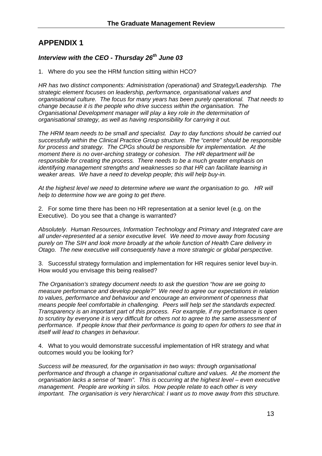# **APPENDIX 1**

#### *Interview with the CEO - Thursday 26th June 03*

1. Where do you see the HRM function sitting within HCO?

*HR has two distinct components: Administration (operational) and Strategy/Leadership. The strategic element focuses on leadership, performance, organisational values and organisational culture. The focus for many years has been purely operational. That needs to change because it is the people who drive success within the organisation. The Organisational Development manager will play a key role in the determination of organisational strategy, as well as having responsibility for carrying it out.* 

*The HRM team needs to be small and specialist. Day to day functions should be carried out successfully within the Clinical Practice Group structure. The "centre" should be responsible for process and strategy. The CPGs should be responsible for implementation. At the moment there is no over-arching strategy or cohesion. The HR department will be responsible for creating the process. There needs to be a much greater emphasis on identifying management strengths and weaknesses so that HR can facilitate learning in weaker areas. We have a need to develop people; this will help buy-in.* 

*At the highest level we need to determine where we want the organisation to go. HR will help to determine how we are going to get there.* 

2. For some time there has been no HR representation at a senior level (e.g. on the Executive). Do you see that a change is warranted?

*Absolutely. Human Resources, Information Technology and Primary and Integrated care are all under-represented at a senior executive level. We need to move away from focusing purely on The SIH and look more broadly at the whole function of Health Care delivery in Otago. The new executive will consequently have a more strategic or global perspective.* 

3. Successful strategy formulation and implementation for HR requires senior level buy-in. How would you envisage this being realised?

*The Organisation's strategy document needs to ask the question "how are we going to measure performance and develop people?" We need to agree our expectations in relation to values, performance and behaviour and encourage an environment of openness that means people feel comfortable in challenging. Peers will help set the standards expected. Transparency is an important part of this process. For example, if my performance is open to scrutiny by everyone it is very difficult for others not to agree to the same assessment of performance. If people know that their performance is going to open for others to see that in itself will lead to changes in behaviour.* 

4. What to you would demonstrate successful implementation of HR strategy and what outcomes would you be looking for?

*Success will be measured, for the organisation in two ways: through organisational performance and through a change in organisational culture and values. At the moment the organisation lacks a sense of "team". This is occurring at the highest level – even executive management. People are working in silos. How people relate to each other is very important. The organisation is very hierarchical: I want us to move away from this structure.*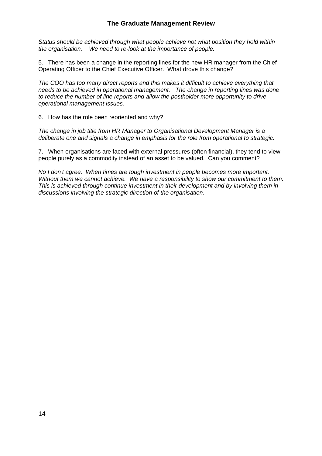*Status should be achieved through what people achieve not what position they hold within the organisation. We need to re-look at the importance of people.* 

5. There has been a change in the reporting lines for the new HR manager from the Chief Operating Officer to the Chief Executive Officer. What drove this change?

*The COO has too many direct reports and this makes it difficult to achieve everything that needs to be achieved in operational management. The change in reporting lines was done to reduce the number of line reports and allow the postholder more opportunity to drive operational management issues.* 

6. How has the role been reoriented and why?

*The change in job title from HR Manager to Organisational Development Manager is a deliberate one and signals a change in emphasis for the role from operational to strategic.* 

7. When organisations are faced with external pressures (often financial), they tend to view people purely as a commodity instead of an asset to be valued. Can you comment?

*No I don't agree. When times are tough investment in people becomes more important. Without them we cannot achieve. We have a responsibility to show our commitment to them. This is achieved through continue investment in their development and by involving them in discussions involving the strategic direction of the organisation.*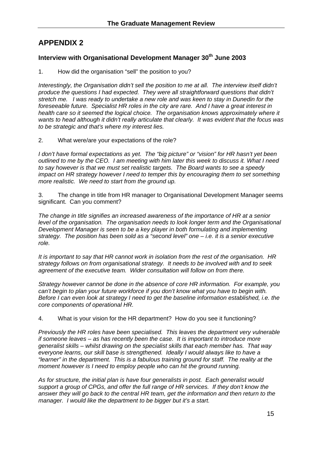# **APPENDIX 2**

#### **Interview with Organisational Development Manager 30th June 2003**

1. How did the organisation "sell" the position to you?

*Interestingly, the Organisation didn't sell the position to me at all. The interview itself didn't produce the questions I had expected. They were all straightforward questions that didn't stretch me. I was ready to undertake a new role and was keen to stay in Dunedin for the foreseeable future. Specialist HR roles in the city are rare. And I have a great interest in*  health care so it seemed the logical choice. The organisation knows approximately where it *wants to head although it didn't really articulate that clearly. It was evident that the focus was to be strategic and that's where my interest lies.* 

2. What were/are your expectations of the role?

*I don't have formal expectations as yet. The "big picture" or "vision" for HR hasn't yet been outlined to me by the CEO. I am meeting with him later this week to discuss it. What I need to say however is that we must set realistic targets. The Board wants to see a speedy impact on HR strategy however I need to temper this by encouraging them to set something more realistic. We need to start from the ground up.* 

3. The change in title from HR manager to Organisational Development Manager seems significant. Can you comment?

*The change in title signifies an increased awareness of the importance of HR at a senior level of the organisation. The organisation needs to look longer term and the Organisational Development Manager is seen to be a key player in both formulating and implementing strategy. The position has been sold as a "second level" one – i.e. it is a senior executive role.* 

*It is important to say that HR cannot work in isolation from the rest of the organisation. HR strategy follows on from organisational strategy. It needs to be involved with and to seek agreement of the executive team. Wider consultation will follow on from there.* 

*Strategy however cannot be done in the absence of core HR information. For example, you can't begin to plan your future workforce if you don't know what you have to begin with. Before I can even look at strategy I need to get the baseline information established, i.e. the core components of operational HR.* 

4. What is your vision for the HR department? How do you see it functioning?

*Previously the HR roles have been specialised. This leaves the department very vulnerable if someone leaves – as has recently been the case. It is important to introduce more generalist skills – whilst drawing on the specialist skills that each member has. That way everyone learns, our skill base is strengthened. Ideally I would always like to have a "learner" in the department. This is a fabulous training ground for staff. The reality at the moment however is I need to employ people who can hit the ground running.* 

*As for structure, the initial plan is have four generalists in post. Each generalist would support a group of CPGs, and offer the full range of HR services. If they don't know the answer they will go back to the central HR team, get the information and then return to the manager. I would like the department to be bigger but it's a start.*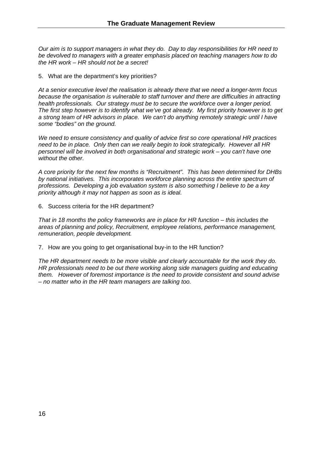*Our aim is to support managers in what they do. Day to day responsibilities for HR need to be devolved to managers with a greater emphasis placed on teaching managers how to do the HR work – HR should not be a secret!* 

5. What are the department's key priorities?

*At a senior executive level the realisation is already there that we need a longer-term focus because the organisation is vulnerable to staff turnover and there are difficulties in attracting health professionals. Our strategy must be to secure the workforce over a longer period. The first step however is to identify what we've got already. My first priority however is to get a strong team of HR advisors in place. We can't do anything remotely strategic until I have some "bodies" on the ground.* 

*We need to ensure consistency and quality of advice first so core operational HR practices need to be in place. Only then can we really begin to look strategically. However all HR personnel will be involved in both organisational and strategic work – you can't have one without the other.* 

*A core priority for the next few months is "Recruitment". This has been determined for DHBs by national initiatives. This incorporates workforce planning across the entire spectrum of professions. Developing a job evaluation system is also something I believe to be a key priority although it may not happen as soon as is ideal.* 

6. Success criteria for the HR department?

*That in 18 months the policy frameworks are in place for HR function – this includes the areas of planning and policy, Recruitment, employee relations, performance management, remuneration, people development.* 

7. How are you going to get organisational buy-in to the HR function?

*The HR department needs to be more visible and clearly accountable for the work they do. HR professionals need to be out there working along side managers guiding and educating them. However of foremost importance is the need to provide consistent and sound advise – no matter who in the HR team managers are talking too.*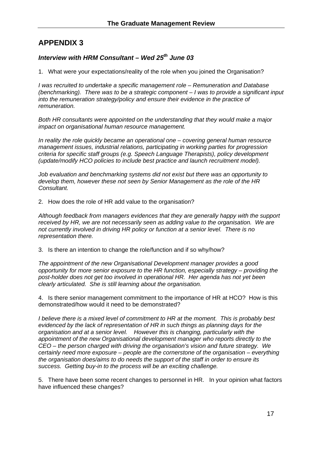# **APPENDIX 3**

#### *Interview with HRM Consultant – Wed 25th June 03*

1. What were your expectations/reality of the role when you joined the Organisation?

*I was recruited to undertake a specific management role – Remuneration and Database (benchmarking). There was to be a strategic component – I was to provide a significant input into the remuneration strategy/policy and ensure their evidence in the practice of remuneration.* 

*Both HR consultants were appointed on the understanding that they would make a major impact on organisational human resource management.* 

*In reality the role quickly became an operational one – covering general human resource management issues, industrial relations, participating in working parties for progression criteria for specific staff groups (e.g. Speech Language Therapists), policy development (update/modify HCO policies to include best practice and launch recruitment model).* 

*Job evaluation and benchmarking systems did not exist but there was an opportunity to develop them, however these not seen by Senior Management as the role of the HR Consultant.* 

2. How does the role of HR add value to the organisation?

*Although feedback from managers evidences that they are generally happy with the support received by HR, we are not necessarily seen as adding value to the organisation. We are not currently involved in driving HR policy or function at a senior level. There is no representation there.* 

3. Is there an intention to change the role/function and if so why/how?

*The appointment of the new Organisational Development manager provides a good opportunity for more senior exposure to the HR function, especially strategy – providing the post-holder does not get too involved in operational HR. Her agenda has not yet been clearly articulated. She is still learning about the organisation.* 

4. Is there senior management commitment to the importance of HR at HCO? How is this demonstrated/how would it need to be demonstrated?

*I believe there is a mixed level of commitment to HR at the moment. This is probably best evidenced by the lack of representation of HR in such things as planning days for the organisation and at a senior level. However this is changing, particularly with the appointment of the new Organisational development manager who reports directly to the CEO – the person charged with driving the organisation's vision and future strategy. We certainly need more exposure – people are the cornerstone of the organisation – everything the organisation does/aims to do needs the support of the staff in order to ensure its success. Getting buy-in to the process will be an exciting challenge.* 

5. There have been some recent changes to personnel in HR. In your opinion what factors have influenced these changes?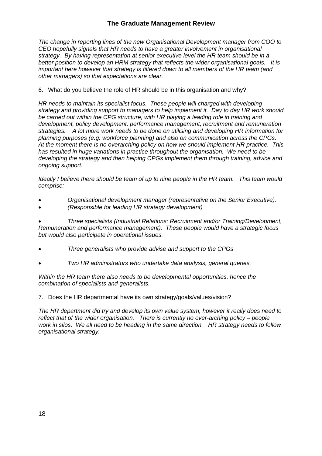*The change in reporting lines of the new Organisational Development manager from COO to CEO hopefully signals that HR needs to have a greater involvement in organisational strategy. By having representation at senior executive level the HR team should be in a better position to develop an HRM strategy that reflects the wider organisational goals. It is important here however that strategy is filtered down to all members of the HR team (and other managers) so that expectations are clear.* 

6. What do you believe the role of HR should be in this organisation and why?

*HR needs to maintain its specialist focus. These people will charged with developing strategy and providing support to managers to help implement it. Day to day HR work should be carried out within the CPG structure, with HR playing a leading role in training and development, policy development, performance management, recruitment and remuneration strategies. A lot more work needs to be done on utilising and developing HR information for planning purposes (e.g. workforce planning) and also on communication across the CPGs. At the moment there is no overarching policy on how we should implement HR practice. This has resulted in huge variations in practice throughout the organisation. We need to be developing the strategy and then helping CPGs implement them through training, advice and ongoing support.* 

*Ideally I believe there should be team of up to nine people in the HR team. This team would comprise:* 

- *Organisational development manager (representative on the Senior Executive).*
- *(Responsible for leading HR strategy development)*

• *Three specialists (Industrial Relations; Recruitment and/or Training/Development, Remuneration and performance management). These people would have a strategic focus but would also participate in operational issues.* 

- *Three generalists who provide advise and support to the CPGs*
- *Two HR administrators who undertake data analysis, general queries.*

*Within the HR team there also needs to be developmental opportunities, hence the combination of specialists and generalists.* 

7. Does the HR departmental have its own strategy/goals/values/vision?

*The HR department did try and develop its own value system, however it really does need to reflect that of the wider organisation. There is currently no over-arching policy – people work in silos. We all need to be heading in the same direction. HR strategy needs to follow organisational strategy.*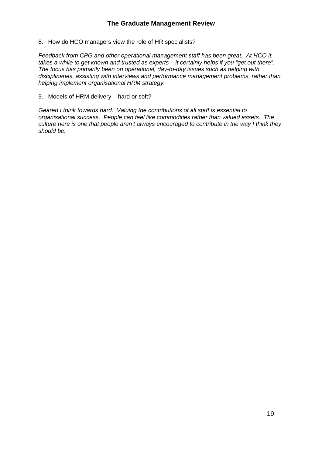8. How do HCO managers view the role of HR specialists?

*Feedback from CPG and other operational management staff has been great. At HCO it takes a while to get known and trusted as experts – it certainly helps if you "get out there". The focus has primarily been on operational, day-to-day issues such as helping with disciplinaries, assisting with interviews and performance management problems, rather than helping implement organisational HRM strategy.* 

9. Models of HRM delivery – hard or soft?

*Geared I think towards hard. Valuing the contributions of all staff is essential to organisational success. People can feel like commodities rather than valued assets. The culture here is one that people aren't always encouraged to contribute in the way I think they should be.*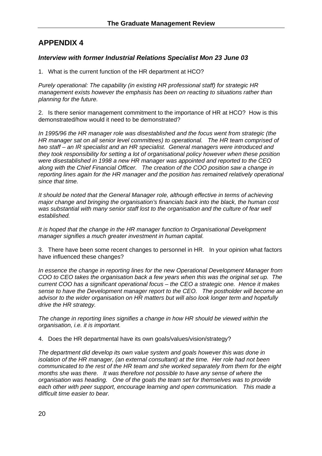# **APPENDIX 4**

#### *Interview with former Industrial Relations Specialist Mon 23 June 03*

1. What is the current function of the HR department at HCO?

*Purely operational: The capability (in existing HR professional staff) for strategic HR management exists however the emphasis has been on reacting to situations rather than planning for the future.* 

2. Is there senior management commitment to the importance of HR at HCO? How is this demonstrated/how would it need to be demonstrated?

*In 1995/96 the HR manager role was disestablished and the focus went from strategic (the HR manager sat on all senior level committees) to operational. The HR team comprised of two staff – an IR specialist and an HR specialist. General managers were introduced and they took responsibility for setting a lot of organisational policy however when these position were disestablished in 1998 a new HR manager was appointed and reported to the CEO along with the Chief Financial Officer. The creation of the COO position saw a change in reporting lines again for the HR manager and the position has remained relatively operational since that time.* 

*It should be noted that the General Manager role, although effective in terms of achieving major change and bringing the organisation's financials back into the black, the human cost*  was substantial with many senior staff lost to the organisation and the culture of fear well *established.* 

*It is hoped that the change in the HR manager function to Organisational Development manager signifies a much greater investment in human capital.* 

3. There have been some recent changes to personnel in HR. In your opinion what factors have influenced these changes?

*In essence the change in reporting lines for the new Operational Development Manager from COO to CEO takes the organisation back a few years when this was the original set up. The current COO has a significant operational focus – the CEO a strategic one. Hence it makes sense to have the Development manager report to the CEO. The postholder will become an advisor to the wider organisation on HR matters but will also look longer term and hopefully drive the HR strategy.* 

*The change in reporting lines signifies a change in how HR should be viewed within the organisation, i.e. it is important.* 

4. Does the HR departmental have its own goals/values/vision/strategy?

*The department did develop its own value system and goals however this was done in isolation of the HR manager, (an external consultant) at the time. Her role had not been communicated to the rest of the HR team and she worked separately from them for the eight months she was there. It was therefore not possible to have any sense of where the organisation was heading. One of the goals the team set for themselves was to provide each other with peer support, encourage learning and open communication. This made a difficult time easier to bear.*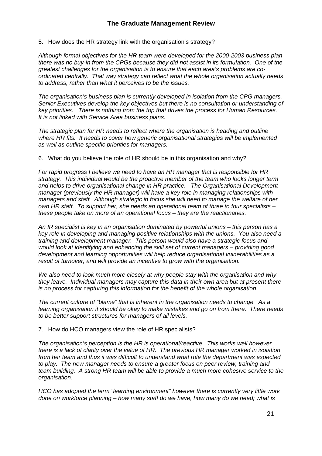5. How does the HR strategy link with the organisation's strategy?

*Although formal objectives for the HR team were developed for the 2000-2003 business plan there was no buy-in from the CPGs because they did not assist in its formulation. One of the greatest challenges for the organisation is to ensure that each area's problems are coordinated centrally. That way strategy can reflect what the whole organisation actually needs to address, rather than what it perceives to be the issues.* 

*The organisation's business plan is currently developed in isolation from the CPG managers. Senior Executives develop the key objectives but there is no consultation or understanding of key priorities. There is nothing from the top that drives the process for Human Resources. It is not linked with Service Area business plans.* 

*The strategic plan for HR needs to reflect where the organisation is heading and outline where HR fits. It needs to cover how generic organisational strategies will be implemented as well as outline specific priorities for managers.* 

6. What do you believe the role of HR should be in this organisation and why?

*For rapid progress I believe we need to have an HR manager that is responsible for HR strategy. This individual would be the proactive member of the team who looks longer term and helps to drive organisational change in HR practice. The Organisational Development manager (previously the HR manager) will have a key role in managing relationships with managers and staff. Although strategic in focus she will need to manage the welfare of her own HR staff. To support her, she needs an operational team of three to four specialists – these people take on more of an operational focus – they are the reactionaries.* 

*An IR specialist is key in an organisation dominated by powerful unions – this person has a key role in developing and managing positive relationships with the unions. You also need a training and development manager. This person would also have a strategic focus and would look at identifying and enhancing the skill set of current managers – providing good development and learning opportunities will help reduce organisational vulnerabilities as a result of turnover, and will provide an incentive to grow with the organisation.* 

*We also need to look much more closely at why people stay with the organisation and why they leave. Individual managers may capture this data in their own area but at present there is no process for capturing this information for the benefit of the whole organisation.* 

*The current culture of "blame" that is inherent in the organisation needs to change. As a learning organisation it should be okay to make mistakes and go on from there. There needs to be better support structures for managers of all levels.* 

7. How do HCO managers view the role of HR specialists?

*The organisation's perception is the HR is operational/reactive. This works well however there is a lack of clarity over the value of HR. The previous HR manager worked in isolation from her team and thus it was difficult to understand what role the department was expected to play. The new manager needs to ensure a greater focus on peer review, training and team building. A strong HR team will be able to provide a much more cohesive service to the organisation.* 

*HCO has adopted the term "learning environment" however there is currently very little work done on workforce planning – how many staff do we have, how many do we need; what is*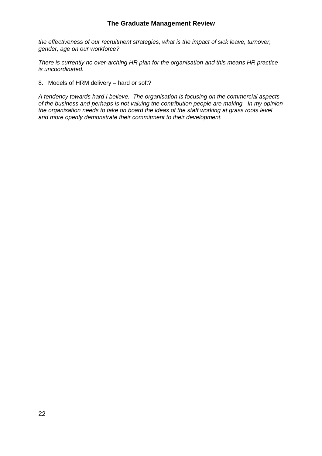*the effectiveness of our recruitment strategies, what is the impact of sick leave, turnover, gender, age on our workforce?* 

*There is currently no over-arching HR plan for the organisation and this means HR practice is uncoordinated.* 

8. Models of HRM delivery – hard or soft?

*A tendency towards hard I believe. The organisation is focusing on the commercial aspects of the business and perhaps is not valuing the contribution people are making. In my opinion the organisation needs to take on board the ideas of the staff working at grass roots level and more openly demonstrate their commitment to their development.*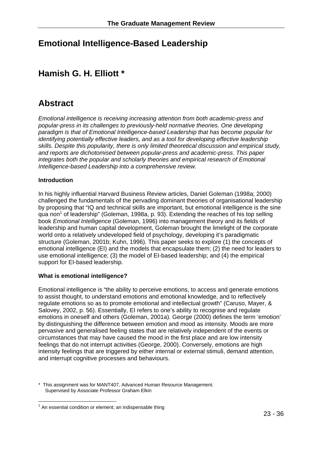# **Emotional Intelligence-Based Leadership**

# **Hamish G. H. Elliott \***

# **Abstract**

*Emotional intelligence is receiving increasing attention from both academic-press and popular-press in its challenges to previously-held normative theories. One developing paradigm is that of Emotional Intelligence-based Leadership that has become popular for identifying potentially effective leaders, and as a tool for developing effective leadership skills. Despite this popularity, there is only limited theoretical discussion and empirical study, and reports are dichotomised between popular-press and academic-press. This paper integrates both the popular and scholarly theories and empirical research of Emotional Intelligence-based Leadership into a comprehensive review.* 

#### **Introduction**

In his highly influential Harvard Business Review articles, Daniel Goleman (1998a; 2000) challenged the fundamentals of the pervading dominant theories of organisational leadership by proposing that "IQ and technical skills are important, but emotional intelligence is the sine qua non<sup>1</sup> of leadership" (Goleman, 1998a, p. 93). Extending the reaches of his top selling book *Emotional Intelligence* (Goleman, 1996) into management theory and its fields of leadership and human capital development, Goleman brought the limelight of the corporate world onto a relatively undeveloped field of psychology, developing it's paradigmatic structure (Goleman, 2001b; Kuhn, 1996). This paper seeks to explore (1) the concepts of emotional intelligence (EI) and the models that encapsulate them; (2) the need for leaders to use emotional intelligence; (3) the model of EI-based leadership; and (4) the empirical support for EI-based leadership.

#### **What is emotional intelligence?**

Emotional intelligence is "the ability to perceive emotions, to access and generate emotions to assist thought, to understand emotions and emotional knowledge, and to reflectively regulate emotions so as to promote emotional and intellectual growth" (Caruso, Mayer, & Salovey, 2002, p. 56). Essentially, EI refers to one's ability to recognise and regulate emotions in oneself and others (Goleman, 2001a). George (2000) defines the term 'emotion' by distinguishing the difference between emotion and mood as intensity. Moods are more pervasive and generalised feeling states that are relatively independent of the events or circumstances that may have caused the mood in the first place and are low intensity feelings that do not interrupt activities (George, 2000). Conversely, emotions are high intensity feelings that are triggered by either internal or external stimuli, demand attention, and interrupt cognitive processes and behaviours.

<sup>\*</sup> This assignment was for MANT407, Advanced Human Resource Management. Supervised by Associate Professor Graham Elkin

 $\overline{a}$  $1$  An essential condition or element; an indispensable thing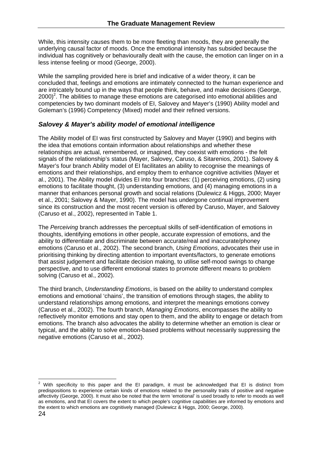While, this intensity causes them to be more fleeting than moods, they are generally the underlying causal factor of moods. Once the emotional intensity has subsided because the individual has cognitively or behaviourally dealt with the cause, the emotion can linger on in a less intense feeling or mood (George, 2000).

While the sampling provided here is brief and indicative of a wider theory, it can be concluded that, feelings and emotions are intimately connected to the human experience and are intricately bound up in the ways that people think, behave, and make decisions (George,  $2000)^2$ . The abilities to manage these emotions are categorised into emotional abilities and competencies by two dominant models of EI, Salovey and Mayer's (1990) Ability model and Goleman's (1996) Competency (Mixed) model and their refined versions.

#### *Salovey & Mayer's ability model of emotional intelligence*

The Ability model of EI was first constructed by Salovey and Mayer (1990) and begins with the idea that emotions contain information about relationships and whether these relationships are actual, remembered, or imagined, they coexist with emotions - the felt signals of the relationship's status (Mayer, Salovey, Caruso, & Sitarenios, 2001). Salovey & Mayer's four branch Ability model of EI facilitates an ability to recognise the meanings of emotions and their relationships, and employ them to enhance cognitive activities (Mayer et al., 2001). The Ability model divides EI into four branches: (1) perceiving emotions, (2) using emotions to facilitate thought, (3) understanding emotions, and (4) managing emotions in a manner that enhances personal growth and social relations (Dulewicz & Higgs, 2000; Mayer et al., 2001; Salovey & Mayer, 1990). The model has undergone continual improvement since its construction and the most recent version is offered by Caruso, Mayer, and Salovey (Caruso et al., 2002), represented in Table 1.

The *Perceiving* branch addresses the perceptual skills of self-identification of emotions in thoughts, identifying emotions in other people, accurate expression of emotions, and the ability to differentiate and discriminate between accurate/real and inaccurate/phoney emotions (Caruso et al., 2002). The second branch, *Using Emotions*, advocates their use in prioritising thinking by directing attention to important events/factors, to generate emotions that assist judgement and facilitate decision making, to utilise self-mood swings to change perspective, and to use different emotional states to promote different means to problem solving (Caruso et al., 2002).

The third branch, *Understanding Emotions*, is based on the ability to understand complex emotions and emotional 'chains', the transition of emotions through stages, the ability to understand relationships among emotions, and interpret the meanings emotions convey (Caruso et al., 2002). The fourth branch, *Managing Emotions*, encompasses the ability to reflectively monitor emotions and stay open to them, and the ability to engage or detach from emotions. The branch also advocates the ability to determine whether an emotion is clear or typical, and the ability to solve emotion-based problems without necessarily suppressing the negative emotions (Caruso et al., 2002).

erthald continuum and the EI paradigm, it must be acknowledged that EI is distinct from that that is distinct from the EI paradigm, it must be acknowledged that EI is distinct from predispositions to experience certain kinds of emotions related to the personality traits of positive and negative affectivity (George, 2000). It must also be noted that the term 'emotional' is used broadly to refer to moods as well as emotions, and that EI covers the extent to which people's cognitive capabilities are informed by emotions and the extent to which emotions are cognitively managed (Dulewicz & Higgs, 2000; George, 2000).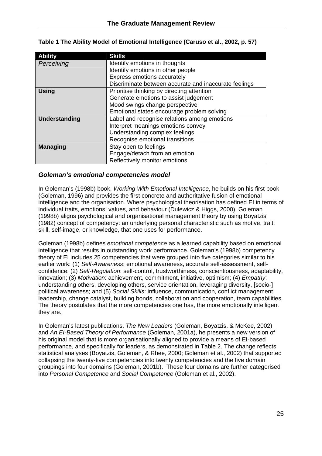| <b>Ability</b>  | <b>Skills</b>                                         |
|-----------------|-------------------------------------------------------|
| Perceiving      | Identify emotions in thoughts                         |
|                 | Identify emotions in other people                     |
|                 | Express emotions accurately                           |
|                 | Discriminate between accurate and inaccurate feelings |
| <b>Using</b>    | Prioritise thinking by directing attention            |
|                 | Generate emotions to assist judgement                 |
|                 | Mood swings change perspective                        |
|                 | Emotional states encourage problem solving            |
| Understanding   | Label and recognise relations among emotions          |
|                 | Interpret meanings emotions convey                    |
|                 | Understanding complex feelings                        |
|                 | Recognise emotional transitions                       |
| <b>Managing</b> | Stay open to feelings                                 |
|                 | Engage/detach from an emotion                         |
|                 | Reflectively monitor emotions                         |

|  |  |  | Table 1 The Ability Model of Emotional Intelligence (Caruso et al., 2002, p. 57) |
|--|--|--|----------------------------------------------------------------------------------|
|  |  |  |                                                                                  |

#### *Goleman's emotional competencies model*

In Goleman's (1998b) book, *Working With Emotional Intelligence*, he builds on his first book (Goleman, 1996) and provides the first concrete and authoritative fusion of emotional intelligence and the organisation. Where psychological theorisation has defined EI in terms of individual traits, emotions, values, and behaviour (Dulewicz & Higgs, 2000), Goleman (1998b) aligns psychological and organisational management theory by using Boyatzis' (1982) concept of competency: an underlying personal characteristic such as motive, trait, skill, self-image, or knowledge, that one uses for performance.

Goleman (1998b) defines *emotional competence* as a learned capability based on emotional intelligence that results in outstanding work performance. Goleman's (1998b) competency theory of EI includes 25 competencies that were grouped into five categories similar to his earlier work: (1) *Self-Awareness*: emotional awareness, accurate self-assessment, selfconfidence; (2) *Self-Regulation*: self-control, trustworthiness, conscientiousness, adaptability, innovation; (3) *Motivation*: achievement, commitment, initiative, optimism; (4) *Empathy*: understanding others, developing others, service orientation, leveraging diversity, [socio-] political awareness; and (5) *Social Skills*: influence, communication, conflict management, leadership, change catalyst, building bonds, collaboration and cooperation, team capabilities. The theory postulates that the more competencies one has, the more emotionally intelligent they are.

In Goleman's latest publications, *The New Leaders* (Goleman, Boyatzis, & McKee, 2002) and *An EI-Based Theory of Performance* (Goleman, 2001a), he presents a new version of his original model that is more organisationally aligned to provide a means of EI-based performance, and specifically for leaders, as demonstrated in Table 2. The change reflects statistical analyses (Boyatzis, Goleman, & Rhee, 2000; Goleman et al., 2002) that supported collapsing the twenty-five competencies into twenty competencies and the five domain groupings into four domains (Goleman, 2001b). These four domains are further categorised into *Personal Competence* and *Social Competence* (Goleman et al., 2002).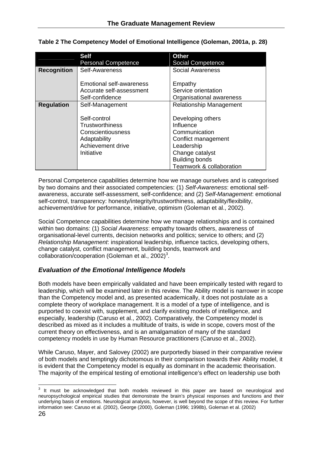|                    | <b>Self</b><br><b>Personal Competence</b>                                                               | <b>Other</b><br><b>Social Competence</b>                                                                                                                     |
|--------------------|---------------------------------------------------------------------------------------------------------|--------------------------------------------------------------------------------------------------------------------------------------------------------------|
| <b>Recognition</b> | Self-Awareness                                                                                          | Social Awareness                                                                                                                                             |
|                    | Emotional self-awareness<br>Accurate self-assessment<br>Self-confidence                                 | Empathy<br>Service orientation<br>Organisational awareness                                                                                                   |
| <b>Regulation</b>  | Self-Management                                                                                         | <b>Relationship Management</b>                                                                                                                               |
|                    | Self-control<br>Trustworthiness<br>Conscientiousness<br>Adaptability<br>Achievement drive<br>Initiative | Developing others<br>Influence<br>Communication<br>Conflict management<br>Leadership<br>Change catalyst<br><b>Building bonds</b><br>Teamwork & collaboration |

|  | Table 2 The Competency Model of Emotional Intelligence (Goleman, 2001a, p. 28) |  |
|--|--------------------------------------------------------------------------------|--|
|  |                                                                                |  |

Personal Competence capabilities determine how we manage ourselves and is categorised by two domains and their associated competencies: (1) *Self-Awareness*: emotional selfawareness, accurate self-assessment, self-confidence; and (2) *Self-Management*: emotional self-control, transparency: honesty/integrity/trustworthiness, adaptability/flexibility, achievement/drive for performance, initiative, optimism (Goleman et al., 2002).

Social Competence capabilities determine how we manage relationships and is contained within two domains: (1) *Social Awareness*: empathy towards others, awareness of organisational-level currents, decision networks and politics; service to others; and (2) *Relationship Management*: inspirational leadership, influence tactics, developing others, change catalyst, conflict management, building bonds, teamwork and  $collaboration/cooperation$  (Goleman et al., 2002)<sup>3</sup>.

#### *Evaluation of the Emotional Intelligence Models*

Both models have been empirically validated and have been empirically tested with regard to leadership, which will be examined later in this review. The Ability model is narrower in scope than the Competency model and, as presented academically, it does not postulate as a complete theory of workplace management. It is a model of a type of intelligence, and is purported to coexist with, supplement, and clarify existing models of intelligence, and especially, leadership (Caruso et al., 2002). Comparatively, the Competency model is described as mixed as it includes a multitude of traits, is wide in scope, covers most of the current theory on effectiveness, and is an amalgamation of many of the standard competency models in use by Human Resource practitioners (Caruso et al., 2002).

While Caruso, Mayer, and Salovey (2002) are purportedly biased in their comparative review of both models and temptingly dichotomous in their comparison towards their Ability model, it is evident that the Competency model is equally as dominant in the academic theorisation. The majority of the empirical testing of emotional intelligence's effect on leadership use both

 $\overline{a}$  $3$  It must be acknowledged that both models reviewed in this paper are based on neurological and neuropsychological empirical studies that demonstrate the brain's physical responses and functions and their underlying basis of emotions. Neurological analysis, however, is well beyond the scope of this review. For further information see: Caruso et al. (2002), George (2000), Goleman (1996; 1998b), Goleman et al. (2002)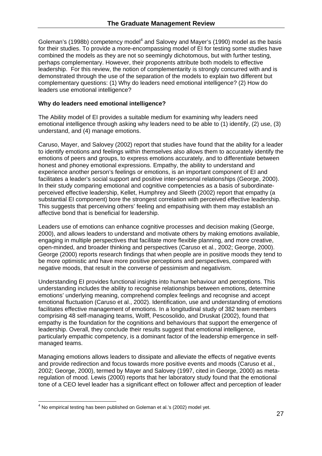Goleman's (1998b) competency model<sup>4</sup> and Salovey and Mayer's (1990) model as the basis for their studies. To provide a more-encompassing model of EI for testing some studies have combined the models as they are not so seemingly dichotomous, but with further testing, perhaps complementary. However, their proponents attribute both models to effective leadership. For this review, the notion of complementarity is strongly concurred with and is demonstrated through the use of the separation of the models to explain two different but complementary questions: (1) Why do leaders need emotional intelligence? (2) How do leaders use emotional intelligence?

#### **Why do leaders need emotional intelligence?**

The Ability model of EI provides a suitable medium for examining why leaders need emotional intelligence through asking why leaders need to be able to (1) identify, (2) use, (3) understand, and (4) manage emotions.

Caruso, Mayer, and Salovey (2002) report that studies have found that the ability for a leader to identify emotions and feelings within themselves also allows them to accurately identify the emotions of peers and groups, to express emotions accurately, and to differentiate between honest and phoney emotional expressions. Empathy, the ability to understand and experience another person's feelings or emotions, is an important component of EI and facilitates a leader's social support and positive inter-personal relationships (George, 2000). In their study comparing emotional and cognitive competencies as a basis of subordinateperceived effective leadership, Kellet, Humphrey and Sleeth (2002) report that empathy (a substantial EI component) bore the strongest correlation with perceived effective leadership. This suggests that perceiving others' feeling and empathising with them may establish an affective bond that is beneficial for leadership.

Leaders use of emotions can enhance cognitive processes and decision making (George, 2000), and allows leaders to understand and motivate others by making emotions available, engaging in multiple perspectives that facilitate more flexible planning, and more creative, open-minded, and broader thinking and perspectives (Caruso et al., 2002; George, 2000). George (2000) reports research findings that when people are in positive moods they tend to be more optimistic and have more positive perceptions and perspectives, compared with negative moods, that result in the converse of pessimism and negativism.

Understanding EI provides functional insights into human behaviour and perceptions. This understanding includes the ability to recognise relationships between emotions, determine emotions' underlying meaning, comprehend complex feelings and recognise and accept emotional fluctuation (Caruso et al., 2002). Identification, use and understanding of emotions facilitates effective management of emotions. In a longitudinal study of 382 team members comprising 48 self-managing teams, Wolff, Pescosolido, and Druskat (2002), found that empathy is the foundation for the cognitions and behaviours that support the emergence of leadership. Overall, they conclude their results suggest that emotional intelligence, particularly empathic competency, is a dominant factor of the leadership emergence in selfmanaged teams.

Managing emotions allows leaders to dissipate and alleviate the effects of negative events and provide redirection and focus towards more positive events and moods (Caruso et al., 2002; George, 2000), termed by Mayer and Salovey (1997, cited in George, 2000) as metaregulation of mood. Lewis (2000) reports that her laboratory study found that the emotional tone of a CEO level leader has a significant effect on follower affect and perception of leader

 $\overline{a}$  $<sup>4</sup>$  No empirical testing has been published on Goleman et al.'s (2002) model yet.</sup>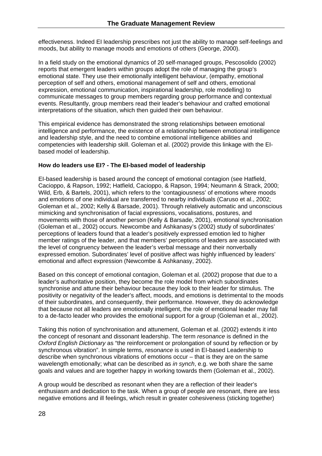effectiveness. Indeed EI leadership prescribes not just the ability to manage self-feelings and moods, but ability to manage moods and emotions of others (George, 2000).

In a field study on the emotional dynamics of 20 self-managed groups, Pescosolido (2002) reports that emergent leaders within groups adopt the role of managing the group's emotional state. They use their emotionally intelligent behaviour, (empathy, emotional perception of self and others, emotional management of self and others, emotional expression, emotional communication, inspirational leadership, role modelling) to communicate messages to group members regarding group performance and contextual events. Resultantly, group members read their leader's behaviour and crafted emotional interpretations of the situation, which then guided their own behaviour.

This empirical evidence has demonstrated the strong relationships between emotional intelligence and performance, the existence of a relationship between emotional intelligence and leadership style, and the need to combine emotional intelligence abilities and competencies with leadership skill. Goleman et al. (2002) provide this linkage with the EIbased model of leadership.

#### **How do leaders use EI? - The EI-based model of leadership**

EI-based leadership is based around the concept of emotional contagion (see Hatfield, Cacioppo, & Rapson, 1992; Hatfield, Cacioppo, & Rapson, 1994; Neumann & Strack, 2000; Wild, Erb, & Bartels, 2001), which refers to the 'contagiousness' of emotions where moods and emotions of one individual are transferred to nearby individuals (Caruso et al., 2002; Goleman et al., 2002; Kelly & Barsade, 2001). Through relatively automatic and unconscious mimicking and synchronisation of facial expressions, vocalisations, postures, and movements with those of another person (Kelly & Barsade, 2001), emotional synchronisation (Goleman et al., 2002) occurs. Newcombe and Ashkanasy's (2002) study of subordinates' perceptions of leaders found that a leader's positively expressed emotion led to higher member ratings of the leader, and that members' perceptions of leaders are associated with the level of congruency between the leader's verbal message and their nonverbally expressed emotion. Subordinates' level of positive affect was highly influenced by leaders' emotional and affect expression (Newcombe & Ashkanasy, 2002).

Based on this concept of emotional contagion, Goleman et al. (2002) propose that due to a leader's authoritative position, they become the role model from which subordinates synchronise and attune their behaviour because they look to their leader for stimulus. The positivity or negativity of the leader's affect, moods, and emotions is detrimental to the moods of their subordinates, and consequently, their performance. However, they do acknowledge that because not all leaders are emotionally intelligent, the role of emotional leader may fall to a de-facto leader who provides the emotional support for a group (Goleman et al., 2002).

Taking this notion of synchronisation and attunement, Goleman et al. (2002) extends it into the concept of resonant and dissonant leadership. The term *resonance* is defined in the *Oxford English Dictionary* as "the reinforcement or prolongation of sound by reflection or by synchronous vibration". In simple terms, *resonance* is used in EI-based Leadership to describe when synchronous vibrations of emotions occur – that is they are on the same wavelength emotionally; what can be described as *in synch*, e.g. we both share the same goals and values and are together happy in working towards them (Goleman et al., 2002).

A group would be described as resonant when they are a reflection of their leader's enthusiasm and dedication to the task. When a group of people are resonant, there are less negative emotions and ill feelings, which result in greater cohesiveness (sticking together)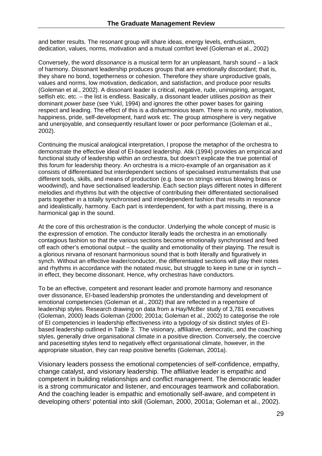and better results. The resonant group will share ideas, energy levels, enthusiasm, dedication, values, norms, motivation and a mutual comfort level (Goleman et al., 2002)

Conversely, the word *dissonance* is a musical term for an unpleasant, harsh sound – a lack of harmony. Dissonant leadership produces groups that are emotionally discordant; that is, they share no bond, togetherness or cohesion. Therefore they share unproductive goals, values and norms, low motivation, dedication, and satisfaction, and produce poor results (Goleman et al., 2002). A dissonant leader is critical, negative, rude, uninspiring, arrogant, selfish etc. etc. – the list is endless. Basically, a dissonant leader utilises *position* as their dominant *power base* (see Yukl, 1994) and ignores the other power bases for gaining respect and leading. The effect of this is a disharmonious team. There is no unity, motivation, happiness, pride, self-development, hard work etc. The group atmosphere is very negative and unenjoyable, and consequently resultant lower or poor performance (Goleman et al., 2002).

Continuing the musical analogical interpretation, I propose the metaphor of the orchestra to demonstrate the effective ideal of EI-based leadership. Atik (1994) provides an empirical and functional study of leadership within an orchestra, but doesn't explicate the true potential of this forum for leadership theory. An orchestra is a micro-example of an organisation as it consists of differentiated but interdependent sections of specialised instrumentalists that use different tools, skills, and means of production (e.g. bow on strings versus blowing brass or woodwind), and have sectionalised leadership. Each section plays different notes in different melodies and rhythms but with the objective of contributing their differentiated sectionalised parts together in a totally synchronised and interdependent fashion that results in resonance and idealistically, harmony. Each part is interdependent, for with a part missing, there is a harmonical gap in the sound.

At the core of this orchestration is the conductor. Underlying the whole concept of music is the expression of emotion. The conductor literally leads the orchestra in an emotionally contagious fashion so that the various sections become emotionally synchronised and feed off each other's emotional output – the quality and emotionality of their playing. The result is a glorious nirvana of resonant harmonious sound that is both literally and figuratively in synch. Without an effective leader/conductor, the differentiated sections will play their notes and rhythms in accordance with the notated music, but struggle to keep in tune or in synch – in effect, they become dissonant. Hence, why orchestras have conductors.

To be an effective, competent and resonant leader and promote harmony and resonance over dissonance, EI-based leadership promotes the understanding and development of emotional competencies (Goleman et al., 2002) that are reflected in a repertoire of leadership styles. Research drawing on data from a Hay/McBer study of 3,781 executives (Goleman, 2000) leads Goleman (2000; 2001a; Goleman et al., 2002) to categorise the role of EI competencies in leadership effectiveness into a typology of six distinct styles of EIbased leadership outlined in Table 3. The visionary, affiliative, democratic, and the coaching styles, generally drive organisational climate in a positive direction. Conversely, the coercive and pacesetting styles tend to negatively effect organisational climate, however, in the appropriate situation, they can reap positive benefits (Goleman, 2001a).

Visionary leaders possess the emotional competencies of self-confidence, empathy, change catalyst, and visionary leadership. The affiliative leader is empathic and competent in building relationships and conflict management. The democratic leader is a strong communicator and listener, and encourages teamwork and collaboration. And the coaching leader is empathic and emotionally self-aware, and competent in developing others' potential into skill (Goleman, 2000, 2001a; Goleman et al., 2002).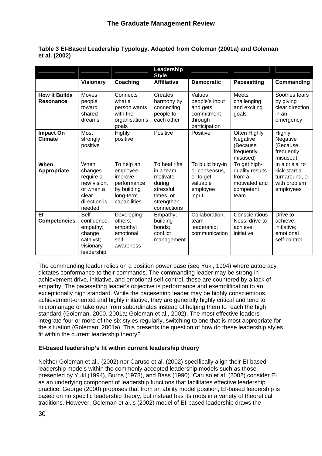|                                    |                                                                                             |                                                                                              | Leadership<br><b>Style</b>                                                                               |                                                                                |                                                                                 |                                                                                |
|------------------------------------|---------------------------------------------------------------------------------------------|----------------------------------------------------------------------------------------------|----------------------------------------------------------------------------------------------------------|--------------------------------------------------------------------------------|---------------------------------------------------------------------------------|--------------------------------------------------------------------------------|
|                                    | <b>Visionary</b>                                                                            | Coaching                                                                                     | <b>Affiliative</b>                                                                                       | <b>Democratic</b>                                                              | <b>Pacesetting</b>                                                              | Commanding                                                                     |
| <b>How It Builds</b><br>Resonance  | Moves<br>people<br>toward<br>shared<br>dreams                                               | Connects<br>what a<br>person wants<br>with the<br>organisation's<br>goals                    | Creates<br>harmony by<br>connecting<br>people to<br>each other                                           | Values<br>people's input<br>and gets<br>commitment<br>through<br>participation | <b>Meets</b><br>challenging<br>and exciting<br>goals                            | Soothes fears<br>by giving<br>clear direction<br>in an<br>emergency            |
| <b>Impact On</b><br><b>Climate</b> | Most<br>strongly<br>positive                                                                | <b>Highly</b><br>positive                                                                    | Positive                                                                                                 | Positive                                                                       | Often Highly<br>Negative<br>(Because<br>frequently<br>misused)                  | Highly<br>Negative<br>(Because<br>frequently<br>misused)                       |
| When<br>Appropriate                | When<br>changes<br>require a<br>new vision,<br>or when a<br>clear<br>direction is<br>needed | To help an<br>employee<br>improve<br>performance<br>by building<br>long-term<br>capabilities | To heal rifts<br>in a team,<br>motivate<br>during<br>stressful<br>times, or<br>strengthen<br>connections | To build buy-in<br>or consensus,<br>or to get<br>valuable<br>employee<br>input | To get high-<br>quality results<br>from a<br>motivated and<br>competent<br>team | In a crisis, to<br>kick-start a<br>turnaround, or<br>with problem<br>employees |
| EI<br><b>Competencies</b>          | Self-<br>confidence;<br>empathy;<br>change<br>catalyst;<br>visionary<br>leadership          | Developing<br>others:<br>empathy;<br>emotional<br>self-<br>awareness                         | Empathy;<br>building<br>bonds:<br>conflict<br>management                                                 | Collaboration;<br>team<br>leadership;<br>communication                         | Conscientious-<br>Ness; drive to<br>achieve:<br>initiative                      | Drive to<br>achieve;<br>initiative;<br>emotional<br>self-control               |

#### **Table 3 EI-Based Leadership Typology. Adapted from Goleman (2001a) and Goleman et al. (2002)**

The commanding leader relies on a position power base (see Yukl, 1994) where autocracy dictates conformance to their commands. The commanding leader may be strong in achievement drive, initiative, and emotional self-control, these are countered by a lack of empathy. The pacesetting leader's objective is performance and exemplification to an exceptionally high standard. While the pacesetting leader may be highly conscientious, achievement-oriented and highly initiative, they are generally highly critical and tend to micromanage or take over from subordinates instead of helping them to reach the high standard (Goleman, 2000, 2001a; Goleman et al., 2002). The most effective leaders integrate four or more of the six styles regularly, switching to one that is most appropriate for the situation (Goleman, 2001a). This presents the question of how do these leadership styles fit within the current leadership theory?

#### **EI-based leadership's fit within current leadership theory**

Neither Goleman et al., (2002) nor Caruso et al. (2002) specifically align their EI-based leadership models within the commonly accepted leadership models such as those presented by Yukl (1994), Burns (1978), and Bass (1990). Caruso et al. (2002) consider EI as an underlying component of leadership functions that facilitates effective leadership practice. George (2000) proposes that from an ability model position, EI-based leadership is based on no specific leadership theory, but instead has its roots in a variety of theoretical traditions. However, Goleman et al.'s (2002) model of EI-based leadership draws the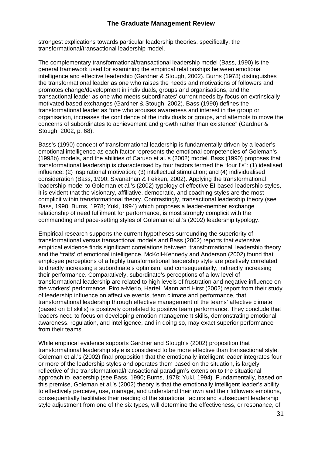strongest explications towards particular leadership theories, specifically, the transformational/transactional leadership model.

The complementary transformational/transactional leadership model (Bass, 1990) is the general framework used for examining the empirical relationships between emotional intelligence and effective leadership (Gardner & Stough, 2002). Burns (1978) distinguishes the transformational leader as one who raises the needs and motivations of followers and promotes change/development in individuals, groups and organisations, and the transactional leader as one who meets subordinates' current needs by focus on extrinsicallymotivated based exchanges (Gardner & Stough, 2002). Bass (1990) defines the transformational leader as "one who arouses awareness and interest in the group or organisation, increases the confidence of the individuals or groups, and attempts to move the concerns of subordinates to achievement and growth rather than existence" (Gardner & Stough, 2002, p. 68).

Bass's (1990) concept of transformational leadership is fundamentally driven by a leader's emotional intelligence as each factor represents the emotional competencies of Goleman's (1998b) models, and the abilities of Caruso et al.'s (2002) model. Bass (1990) proposes that transformational leadership is characterised by four factors termed the "four I's": (1) idealised influence; (2) inspirational motivation; (3) intellectual stimulation; and (4) individualised consideration (Bass, 1990; Sivanathan & Fekken, 2002). Applying the transformational leadership model to Goleman et al.'s (2002) typology of effective EI-based leadership styles, it is evident that the visionary, affiliative, democratic, and coaching styles are the most complicit within transformational theory. Contrastingly, transactional leadership theory (see Bass, 1990; Burns, 1978; Yukl, 1994) which proposes a leader-member exchange relationship of need fulfilment for performance, is most strongly complicit with the commanding and pace-setting styles of Goleman et al.'s (2002) leadership typology.

Empirical research supports the current hypotheses surrounding the superiority of transformational versus transactional models and Bass (2002) reports that extensive empirical evidence finds significant correlations between 'transformational' leadership theory and the 'traits' of emotional intelligence. McKoll-Kennedy and Anderson (2002) found that employee perceptions of a highly transformational leadership style are positively correlated to directly increasing a subordinate's optimism, and consequentially, indirectly increasing their performance. Comparatively, subordinate's perceptions of a low level of transformational leadership are related to high levels of frustration and negative influence on the workers' performance. Pirola-Merlo, Hartel, Mann and Hirst (2002) report from their study of leadership influence on affective events, team climate and performance, that transformational leadership through effective management of the teams' affective climate (based on EI skills) is positively correlated to positive team performance. They conclude that leaders need to focus on developing emotion management skills, demonstrating emotional awareness, regulation, and intelligence, and in doing so, may exact superior performance from their teams.

While empirical evidence supports Gardner and Stough's (2002) proposition that transformational leadership style is considered to be more effective than transactional style, Goleman et al.'s (2002) final proposition that the emotionally intelligent leader integrates four or more of the leadership styles and operates them based on the situation, is largely reflective of the transformational/transactional paradigm's extension to the situational approach to leadership (see Bass, 1990; Burns, 1978; Yukl, 1994). Fundamentally, based on this premise, Goleman et al.'s (2002) theory is that the emotionally intelligent leader's ability to effectively perceive, use, manage, and understand their own and their followers emotions, consequentially facilitates their reading of the situational factors and subsequent leadership style adjustment from one of the six types, will determine the effectiveness, or resonance, of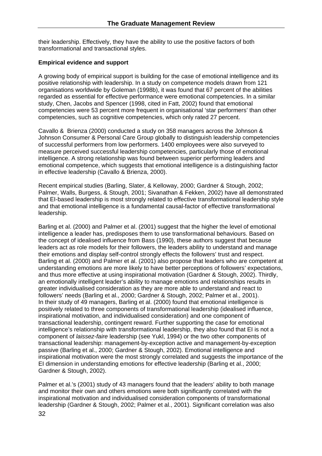their leadership. Effectively, they have the ability to use the positive factors of both transformational and transactional styles.

#### **Empirical evidence and support**

A growing body of empirical support is building for the case of emotional intelligence and its positive relationship with leadership. In a study on competence models drawn from 121 organisations worldwide by Goleman (1998b), it was found that 67 percent of the abilities regarded as essential for effective performance were emotional competencies. In a similar study, Chen, Jacobs and Spencer (1998, cited in Fatt, 2002) found that emotional competencies were 53 percent more frequent in organisational 'star performers' than other competencies, such as cognitive competencies, which only rated 27 percent.

Cavallo & Brienza (2000) conducted a study on 358 managers across the Johnson & Johnson Consumer & Personal Care Group globally to distinguish leadership competencies of successful performers from low performers. 1400 employees were also surveyed to measure perceived successful leadership competencies, particularly those of emotional intelligence. A strong relationship was found between superior performing leaders and emotional competence, which suggests that emotional intelligence is a distinguishing factor in effective leadership (Cavallo & Brienza, 2000).

Recent empirical studies (Barling, Slater, & Kelloway, 2000; Gardner & Stough, 2002; Palmer, Walls, Burgess, & Stough, 2001; Sivanathan & Fekken, 2002) have all demonstrated that EI-based leadership is most strongly related to effective transformational leadership style and that emotional intelligence is a fundamental causal-factor of effective transformational leadership.

Barling et al. (2000) and Palmer et al. (2001) suggest that the higher the level of emotional intelligence a leader has, predisposes them to use transformational behaviours. Based on the concept of idealised influence from Bass (1990), these authors suggest that because leaders act as role models for their followers, the leaders ability to understand and manage their emotions and display self-control strongly effects the followers' trust and respect. Barling et al. (2000) and Palmer et al. (2001) also propose that leaders who are competent at understanding emotions are more likely to have better perceptions of followers' expectations, and thus more effective at using inspirational motivation (Gardner & Stough, 2002). Thirdly, an emotionally intelligent leader's ability to manage emotions and relationships results in greater individualised consideration as they are more able to understand and react to followers' needs (Barling et al., 2000; Gardner & Stough, 2002; Palmer et al., 2001). In their study of 49 managers, Barling et al. (2000) found that emotional intelligence is positively related to three components of transformational leadership (idealised influence, inspirational motivation, and individualised consideration) and one component of transactional leadership, contingent reward. Further supporting the case for emotional intelligence's relationship with transformational leadership, they also found that EI is not a component of *laissez-faire* leadership (see Yukl, 1994) or the two other components of transactional leadership: management-by-exception active and management-by-exception passive (Barling et al., 2000; Gardner & Stough, 2002). Emotional intelligence and inspirational motivation were the most strongly correlated and suggests the importance of the EI dimension in understanding emotions for effective leadership (Barling et al., 2000; Gardner & Stough, 2002).

Palmer et al.'s (2001) study of 43 managers found that the leaders' ability to both manage and monitor their own and others emotions were both significantly correlated with the inspirational motivation and individualised consideration components of transformational leadership (Gardner & Stough, 2002; Palmer et al., 2001). Significant correlation was also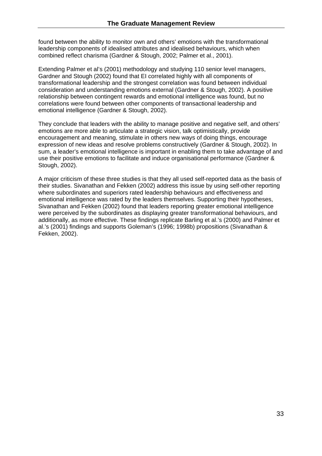found between the ability to monitor own and others' emotions with the transformational leadership components of idealised attributes and idealised behaviours, which when combined reflect charisma (Gardner & Stough, 2002; Palmer et al., 2001).

Extending Palmer et al's (2001) methodology and studying 110 senior level managers, Gardner and Stough (2002) found that EI correlated highly with all components of transformational leadership and the strongest correlation was found between individual consideration and understanding emotions external (Gardner & Stough, 2002). A positive relationship between contingent rewards and emotional intelligence was found, but no correlations were found between other components of transactional leadership and emotional intelligence (Gardner & Stough, 2002).

They conclude that leaders with the ability to manage positive and negative self, and others' emotions are more able to articulate a strategic vision, talk optimistically, provide encouragement and meaning, stimulate in others new ways of doing things, encourage expression of new ideas and resolve problems constructively (Gardner & Stough, 2002). In sum, a leader's emotional intelligence is important in enabling them to take advantage of and use their positive emotions to facilitate and induce organisational performance (Gardner & Stough, 2002).

A major criticism of these three studies is that they all used self-reported data as the basis of their studies. Sivanathan and Fekken (2002) address this issue by using self-other reporting where subordinates and superiors rated leadership behaviours and effectiveness and emotional intelligence was rated by the leaders themselves. Supporting their hypotheses, Sivanathan and Fekken (2002) found that leaders reporting greater emotional intelligence were perceived by the subordinates as displaying greater transformational behaviours, and additionally, as more effective. These findings replicate Barling et al.'s (2000) and Palmer et al.'s (2001) findings and supports Goleman's (1996; 1998b) propositions (Sivanathan & Fekken, 2002).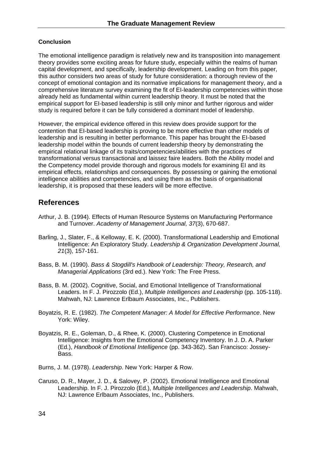#### **Conclusion**

The emotional intelligence paradigm is relatively new and its transposition into management theory provides some exciting areas for future study, especially within the realms of human capital development, and specifically, leadership development. Leading on from this paper, this author considers two areas of study for future consideration: a thorough review of the concept of emotional contagion and its normative implications for management theory, and a comprehensive literature survey examining the fit of EI-leadership competencies within those already held as fundamental within current leadership theory. It must be noted that the empirical support for EI-based leadership is still only minor and further rigorous and wider study is required before it can be fully considered a dominant model of leadership.

However, the empirical evidence offered in this review does provide support for the contention that EI-based leadership is proving to be more effective than other models of leadership and is resulting in better performance. This paper has brought the EI-based leadership model within the bounds of current leadership theory by demonstrating the empirical relational linkage of its traits/competencies/abilities with the practices of transformational versus transactional and laissez faire leaders. Both the Ability model and the Competency model provide thorough and rigorous models for examining EI and its empirical effects, relationships and consequences. By possessing or gaining the emotional intelligence abilities and competencies, and using them as the basis of organisational leadership, it is proposed that these leaders will be more effective.

### **References**

- Arthur, J. B. (1994). Effects of Human Resource Systems on Manufacturing Performance and Turnover. *Academy of Management Journal, 37*(3), 670-687.
- Barling, J., Slater, F., & Kelloway, E. K. (2000). Transformational Leadership and Emotional Intelligence: An Exploratory Study. *Leadership & Organization Development Journal, 21*(3), 157-161.
- Bass, B. M. (1990). *Bass & Stogdill's Handbook of Leadership: Theory, Research, and Managerial Applications* (3rd ed.). New York: The Free Press.
- Bass, B. M. (2002). Cognitive, Social, and Emotional Intelligence of Transformational Leaders. In F. J. Pirozzolo (Ed.), *Multiple Intelligences and Leadership* (pp. 105-118). Mahwah, NJ: Lawrence Erlbaum Associates, Inc., Publishers.
- Boyatzis, R. E. (1982). *The Competent Manager: A Model for Effective Performance*. New York: Wiley.
- Boyatzis, R. E., Goleman, D., & Rhee, K. (2000). Clustering Competence in Emotional Intelligence: Insights from the Emotional Competency Inventory. In J. D. A. Parker (Ed.), *Handbook of Emotional Intelligence* (pp. 343-362). San Francisco: Jossey-Bass.
- Burns, J. M. (1978). *Leadership*. New York: Harper & Row.
- Caruso, D. R., Mayer, J. D., & Salovey, P. (2002). Emotional Intelligence and Emotional Leadership. In F. J. Pirozzolo (Ed.), *Multiple Intelligences and Leadership*. Mahwah, NJ: Lawrence Erlbaum Associates, Inc., Publishers.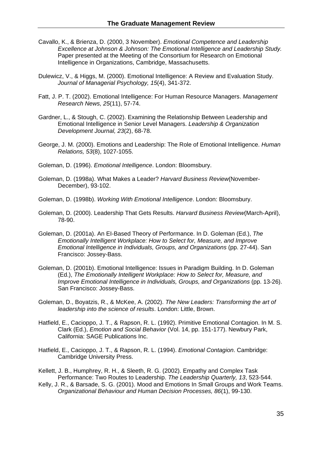- Cavallo, K., & Brienza, D. (2000, 3 November). *Emotional Competence and Leadership Excellence at Johnson & Johnson: The Emotional Intelligence and Leadership Study.* Paper presented at the Meeting of the Consortium for Research on Emotional Intelligence in Organizations, Cambridge, Massachusetts.
- Dulewicz, V., & Higgs, M. (2000). Emotional Intelligence: A Review and Evaluation Study. *Journal of Managerial Psychology, 15*(4), 341-372.
- Fatt, J. P. T. (2002). Emotional Intelligence: For Human Resource Managers. *Management Research News, 25*(11), 57-74.
- Gardner, L., & Stough, C. (2002). Examining the Relationship Between Leadership and Emotional Intelligence in Senior Level Managers. *Leadership & Organization Development Journal, 23*(2), 68-78.
- George, J. M. (2000). Emotions and Leadership: The Role of Emotional Intelligence. *Human Relations, 53*(8), 1027-1055.
- Goleman, D. (1996). *Emotional Intelligence*. London: Bloomsbury.
- Goleman, D. (1998a). What Makes a Leader? *Harvard Business Review*(November-December), 93-102.

Goleman, D. (1998b). *Working With Emotional Intelligence*. London: Bloomsbury.

- Goleman, D. (2000). Leadership That Gets Results. *Harvard Business Review*(March-April), 78-90.
- Goleman, D. (2001a). An EI-Based Theory of Performance. In D. Goleman (Ed.), *The Emotionally Intelligent Workplace: How to Select for, Measure, and Improve Emotional Intelligence in Individuals, Groups, and Organizations* (pp. 27-44). San Francisco: Jossey-Bass.
- Goleman, D. (2001b). Emotional Intelligence: Issues in Paradigm Building. In D. Goleman (Ed.), *The Emotionally Intelligent Workplace: How to Select for, Measure, and Improve Emotional Intelligence in Individuals, Groups, and Organizations* (pp. 13-26). San Francisco: Jossey-Bass.
- Goleman, D., Boyatzis, R., & McKee, A. (2002). *The New Leaders: Transforming the art of leadership into the science of results*. London: Little, Brown.
- Hatfield, E., Cacioppo, J. T., & Rapson, R. L. (1992). Primitive Emotional Contagion. In M. S. Clark (Ed.), *Emotion and Social Behavior* (Vol. 14, pp. 151-177). Newbury Park, California: SAGE Publications Inc.
- Hatfield, E., Cacioppo, J. T., & Rapson, R. L. (1994). *Emotional Contagion*. Cambridge: Cambridge University Press.
- Kellett, J. B., Humphrey, R. H., & Sleeth, R. G. (2002). Empathy and Complex Task Performance: Two Routes to Leadership. *The Leadership Quarterly, 13*, 523-544.
- Kelly, J. R., & Barsade, S. G. (2001). Mood and Emotions In Small Groups and Work Teams. *Organizational Behaviour and Human Decision Processes, 86*(1), 99-130.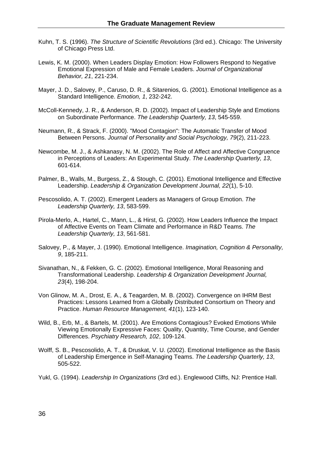- Kuhn, T. S. (1996). *The Structure of Scientific Revolutions* (3rd ed.). Chicago: The University of Chicago Press Ltd.
- Lewis, K. M. (2000). When Leaders Display Emotion: How Followers Respond to Negative Emotional Expression of Male and Female Leaders. *Journal of Organizational Behavior, 21*, 221-234.
- Mayer, J. D., Salovey, P., Caruso, D. R., & Sitarenios, G. (2001). Emotional Intelligence as a Standard Intelligence. *Emotion, 1*, 232-242.
- McColl-Kennedy, J. R., & Anderson, R. D. (2002). Impact of Leadership Style and Emotions on Subordinate Performance. *The Leadership Quarterly, 13*, 545-559.
- Neumann, R., & Strack, F. (2000). "Mood Contagion": The Automatic Transfer of Mood Between Persons. *Journal of Personality and Social Psychology, 79*(2), 211-223.
- Newcombe, M. J., & Ashkanasy, N. M. (2002). The Role of Affect and Affective Congruence in Perceptions of Leaders: An Experimental Study. *The Leadership Quarterly, 13*, 601-614.
- Palmer, B., Walls, M., Burgess, Z., & Stough, C. (2001). Emotional Intelligence and Effective Leadership. *Leadership & Organization Development Journal, 22*(1), 5-10.
- Pescosolido, A. T. (2002). Emergent Leaders as Managers of Group Emotion. *The Leadership Quarterly, 13*, 583-599.
- Pirola-Merlo, A., Hartel, C., Mann, L., & Hirst, G. (2002). How Leaders Influence the Impact of Affective Events on Team Climate and Performance in R&D Teams. *The Leadership Quarterly, 13*, 561-581.
- Salovey, P., & Mayer, J. (1990). Emotional Intelligence. *Imagination, Cognition & Personality, 9*, 185-211.
- Sivanathan, N., & Fekken, G. C. (2002). Emotional Intelligence, Moral Reasoning and Transformational Leadership. *Leadership & Organization Development Journal, 23*(4), 198-204.
- Von Glinow, M. A., Drost, E. A., & Teagarden, M. B. (2002). Convergence on IHRM Best Practices: Lessons Learned from a Globally Distributed Consortium on Theory and Practice. *Human Resource Management, 41*(1), 123-140.
- Wild, B., Erb, M., & Bartels, M. (2001). Are Emotions Contagious? Evoked Emotions While Viewing Emotionally Expressive Faces: Quality, Quantity, Time Course, and Gender Differences. *Psychiatry Research, 102*, 109-124.
- Wolff, S. B., Pescosolido, A. T., & Druskat, V. U. (2002). Emotional Intelligence as the Basis of Leadership Emergence in Self-Managing Teams. *The Leadership Quarterly, 13*, 505-522.
- Yukl, G. (1994). *Leadership In Organizations* (3rd ed.). Englewood Cliffs, NJ: Prentice Hall.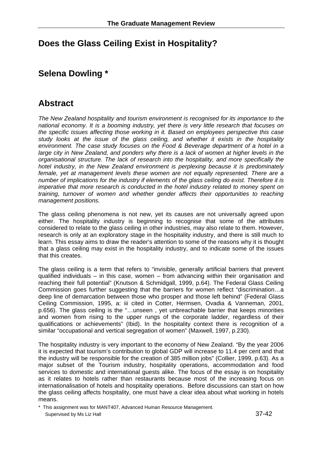# **Does the Glass Ceiling Exist in Hospitality?**

# **Selena Dowling \***

# **Abstract**

*The New Zealand hospitality and tourism environment is recognised for its importance to the national economy. It is a booming industry, yet there is very little research that focuses on the specific issues affecting those working in it. Based on employees perspective this case study looks at the issue of the glass ceiling, and whether it exists in the hospitality environment. The case study focuses on the Food & Beverage department of a hotel in a large city in New Zealand, and ponders why there is a lack of women at higher levels in the organisational structure. The lack of research into the hospitality, and more specifically the hotel industry, in the New Zealand environment is perplexing because it is predominately*  female, yet at management levels these women are not equally represented. There are a *number of implications for the industry if elements of the glass ceiling do exist. Therefore it is imperative that more research is conducted in the hotel industry related to money spent on training, turnover of women and whether gender affects their opportunities to reaching management positions.* 

The glass ceiling phenomena is not new, yet its causes are not universally agreed upon either. The hospitality industry is beginning to recognise that some of the attributes considered to relate to the glass ceiling in other industries, may also relate to them. However, research is only at an exploratory stage in the hospitality industry, and there is still much to learn. This essay aims to draw the reader's attention to some of the reasons why it is thought that a glass ceiling may exist in the hospitality industry, and to indicate some of the issues that this creates.

The glass ceiling is a term that refers to "invisible, generally artificial barriers that prevent qualified individuals – in this case, women – from advancing within their organisation and reaching their full potential" (Knutson & Schmidgall, 1999, p.64). The Federal Glass Ceiling Commission goes further suggesting that the barriers for women reflect "discrimination…a deep line of demarcation between those who prosper and those left behind" (Federal Glass Ceiling Commission, 1995, a: iii cited in Cotter, Hermsen, Ovadia & Vanneman, 2001, p.656). The glass ceiling is the "…unseen , yet unbreachable barrier that keeps minorities and women from rising to the upper rungs of the corporate ladder, regardless of their qualifications or achievements" (Ibid). In the hospitality context there is recognition of a similar "occupational and vertical segregation of women" (Maxwell, 1997, p.230).

The hospitality industry is very important to the economy of New Zealand. "By the year 2006 it is expected that tourism's contribution to global GDP will increase to 11.4 per cent and that the industry will be responsible for the creation of 385 million jobs" (Collier, 1999, p.63). As a major subset of the Tourism industry, hospitality operations, accommodation and food services to domestic and international guests alike. The focus of the essay is on hospitality as it relates to hotels rather than restaurants because most of the increasing focus on internationalisation of hotels and hospitality operations. Before discussions can start on how the glass ceiling affects hospitality, one must have a clear idea about what working in hotels means.

\* This assignment was for MANT407, Advanced Human Resource Management. Supervised by Ms Liz Hall 37-42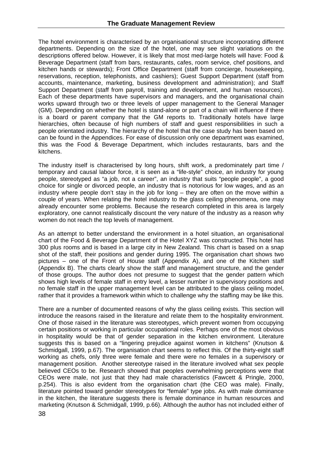The hotel environment is characterised by an organisational structure incorporating different departments. Depending on the size of the hotel, one may see slight variations on the descriptions offered below. However, it is likely that most med-large hotels will have: Food & Beverage Department (staff from bars, restaurants, cafes, room service, chef positions, and kitchen hands or stewards); Front Office Department (staff from concierge, housekeeping, reservations, reception, telephonists, and cashiers); Guest Support Department (staff from accounts, maintenance, marketing, business development and administration); and Staff Support Department (staff from payroll, training and development, and human resources). Each of these departments have supervisors and managers, and the organisational chain works upward through two or three levels of upper management to the General Manager (GM). Depending on whether the hotel is stand-alone or part of a chain will influence if there is a board or parent company that the GM reports to. Traditionally hotels have large hierarchies, often because of high numbers of staff and guest responsibilities in such a people orientated industry. The hierarchy of the hotel that the case study has been based on can be found in the Appendices. For ease of discussion only one department was examined, this was the Food & Beverage Department, which includes restaurants, bars and the kitchens.

The industry itself is characterised by long hours, shift work, a predominately part time / temporary and causal labour force, it is seen as a "life-style" choice, an industry for young people, stereotyped as "a job, not a career", an industry that suits "people people", a good choice for single or divorced people, an industry that is notorious for low wages, and as an industry where people don't stay in the job for long – they are often on the move within a couple of years. When relating the hotel industry to the glass ceiling phenomena, one may already encounter some problems. Because the research completed in this area is largely exploratory, one cannot realistically discount the very nature of the industry as a reason why women do not reach the top levels of management.

As an attempt to better understand the environment in a hotel situation, an organisational chart of the Food & Beverage Department of the Hotel XYZ was constructed. This hotel has 300 plus rooms and is based in a large city in New Zealand. This chart is based on a snap shot of the staff, their positions and gender during 1995. The organisation chart shows two pictures – one of the Front of House staff (Appendix A), and one of the Kitchen staff (Appendix B). The charts clearly show the staff and management structure, and the gender of those groups. The author does not presume to suggest that the gender pattern which shows high levels of female staff in entry level, a lesser number in supervisory positions and no female staff in the upper management level can be attributed to the glass ceiling model, rather that it provides a framework within which to challenge why the staffing may be like this.

There are a number of documented reasons of why the glass ceiling exists. This section will introduce the reasons raised in the literature and relate them to the hospitality environment. One of those raised in the literature was stereotypes, which prevent women from occupying certain positions or working in particular occupational roles. Perhaps one of the most obvious in hospitality would be that of gender separation in the kitchen environment. Literature suggests this is based on a "lingering prejudice against women in kitchens" (Knutson & Schmidgall, 1999, p.67). The organisation chart seems to reflect this. Of the thirty-eight staff working as chefs, only three were female and there were no females in a supervisory or management position. Another stereotype raised in the literature involved what sex people believed CEOs to be. Research showed that peoples overwhelming perceptions were that CEOs were male, not just that they had male characteristics (Fawcett & Pringle, 2000, p.254). This is also evident from the organisation chart (the CEO was male). Finally, literature pointed toward gender stereotypes for "female" type jobs. As with male dominance in the kitchen, the literature suggests there is female dominance in human resources and marketing (Knutson & Schmidgall, 1999, p.66). Although the author has not included either of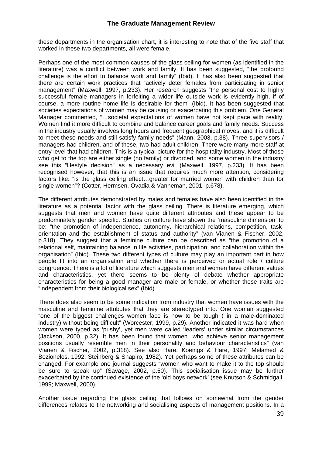these departments in the organisation chart, it is interesting to note that of the five staff that worked in these two departments, all were female.

Perhaps one of the most common causes of the glass ceiling for women (as identified in the literature) was a conflict between work and family. It has been suggested, "the profound challenge is the effort to balance work and family" (Ibid). It has also been suggested that there are certain work practices that "actively deter females from participating in senior management" (Maxwell, 1997, p.233). Her research suggests "the personal cost to highly successful female managers in forfeiting a wider life outside work is evidently high, if of course, a more routine home life is desirable for them" (Ibid). It has been suggested that societies expectations of women may be causing or exacerbating this problem. One General Manager commented, "…societal expectations of women have not kept pace with reality. Women find it more difficult to combine and balance career goals and family needs. Success in the industry usually involves long hours and frequent geographical moves, and it is difficult to meet these needs and still satisfy family needs" (Mann, 2003, p.38). Three supervisors / managers had children, and of these, two had adult children. There were many more staff at entry level that had children. This is a typical picture for the hospitality industry. Most of those who get to the top are either single (no family) or divorced, and some women in the industry see this "lifestyle decision" as a necessary evil (Maxwell, 1997, p.233). It has been recognised however, that this is an issue that requires much more attention, considering factors like: "is the glass ceiling effect…greater for married women with children than for single women"? (Cotter, Hermsen, Ovadia & Vanneman, 2001, p.678).

The different attributes demonstrated by males and females have also been identified in the literature as a potential factor with the glass ceiling. There is literature emerging, which suggests that men and women have quite different attributes and these appear to be predominately gender specific. Studies on culture have shown the 'masculine dimension' to be: "the promotion of independence, autonomy, hierarchical relations, competition, taskorientation and the establishment of status and authority" (van Vianen & Fischer, 2002, p.318). They suggest that a feminine culture can be described as "the promotion of a relational self, maintaining balance in life activities, participation, and collaboration within the organisation" (Ibid). These two different types of culture may play an important part in how people fit into an organisation and whether there is perceived or actual role / culture congruence. There is a lot of literature which suggests men and women have different values and characteristics, yet there seems to be plenty of debate whether appropriate characteristics for being a good manager are male or female, or whether these traits are "independent from their biological sex" (Ibid).

There does also seem to be some indication from industry that women have issues with the masculine and feminine attributes that they are stereotyped into. One woman suggested "one of the biggest challenges women face is how to be tough ( in a male-dominated industry) without being difficult" (Worcester, 1999, p.29). Another indicated it was hard when women were typed as 'pushy', yet men were called 'leaders' under similar circumstances (Jackson, 2000, p.32). It has been found that women "who achieve senior management positions usually resemble men in their personality and behaviour characteristics" (van Vianen & Fischer, 2002, p.318). See also Hare, Koenigs & Hare, 1997; Melamed & Bozionelos, 1992; Steinberg & Shapiro, 1982). Yet perhaps some of these attributes can be changed. For example one journal suggests "women who want to make it to the top should be sure to speak up" (Savage, 2002, p.50). This socialisation issue may be further exacerbated by the continued existence of the 'old boys network' (see Knutson & Schmidgall, 1999; Maxwell, 2000).

Another issue regarding the glass ceiling that follows on somewhat from the gender differences relates to the networking and socialising aspects of management positions. In a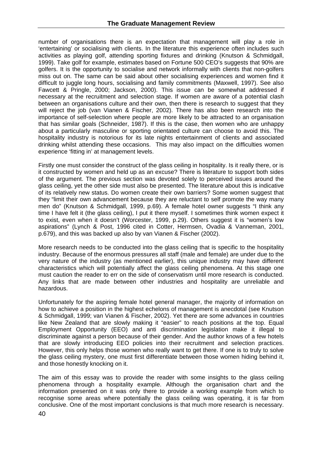number of organisations there is an expectation that management will play a role in 'entertaining' or socialising with clients. In the literature this experience often includes such activities as playing golf, attending sporting fixtures and drinking (Knutson & Schmidgall, 1999). Take golf for example, estimates based on Fortune 500 CEO's suggests that 90% are golfers. It is the opportunity to socialise and network informally with clients that non-golfers miss out on. The same can be said about other socialising experiences and women find it difficult to juggle long hours, socialising and family commitments (Maxwell, 1997). See also Fawcett & Pringle, 2000; Jackson, 2000). This issue can be somewhat addressed if necessary at the recruitment and selection stage. If women are aware of a potential clash between an organisations culture and their own, then there is research to suggest that they will reject the job (van Vianen & Fischer, 2002). There has also been research into the importance of self-selection where people are more likely to be attracted to an organisation that has similar goals (Schneider, 1987). If this is the case, then women who are unhappy about a particularly masculine or sporting orientated culture can choose to avoid this. The hospitality industry is notorious for its late nights entertainment of clients and associated drinking whilst attending these occasions. This may also impact on the difficulties women experience 'fitting in' at management levels.

Firstly one must consider the construct of the glass ceiling in hospitality. Is it really there, or is it constructed by women and held up as an excuse? There is literature to support both sides of the argument. The previous section was devoted solely to perceived issues around the glass ceiling, yet the other side must also be presented. The literature about this is indicative of its relatively new status. Do women create their own barriers? Some women suggest that they "limit their own advancement because they are reluctant to self promote the way many men do" (Knutson & Schmidgall, 1999, p.69). A female hotel owner suggests "I think any time I have felt it (the glass ceiling), I put it there myself. I sometimes think women expect it to exist, even when it doesn't (Worcester, 1999, p.29). Others suggest it is "women's low aspirations" (Lynch & Post, 1996 cited in Cotter, Hermsen, Ovadia & Vanneman, 2001, p.679), and this was backed up also by van Vianen & Fischer (2002).

More research needs to be conducted into the glass ceiling that is specific to the hospitality industry. Because of the enormous pressures all staff (male and female) are under due to the very nature of the industry (as mentioned earlier), this unique industry may have different characteristics which will potentially affect the glass ceiling phenomena. At this stage one must caution the reader to err on the side of conservatism until more research is conducted. Any links that are made between other industries and hospitality are unreliable and hazardous.

Unfortunately for the aspiring female hotel general manager, the majority of information on how to achieve a position in the highest echelons of management is anecdotal (see Knutson & Schmidgall, 1999; van Vianen & Fischer, 2002). Yet there are some advances in countries like New Zealand that are slowly making it "easier" to reach positions at the top. Equal Employment Opportunity (EEO) and anti discrimination legislation make it illegal to discriminate against a person because of their gender. And the author knows of a few hotels that are slowly introducing EEO policies into their recruitment and selection practices. However, this only helps those women who really want to get there. If one is to truly to solve the glass ceiling mystery, one must first differentiate between those women hiding behind it, and those honestly knocking on it.

The aim of this essay was to provide the reader with some insights to the glass ceiling phenomena through a hospitality example. Although the organisation chart and the information presented on it was only there to provide a working example from which to recognise some areas where potentially the glass ceiling was operating, it is far from conclusive. One of the most important conclusions is that much more research is necessary.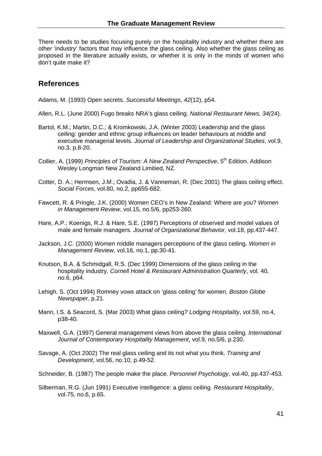There needs to be studies focusing purely on the hospitality industry and whether there are other 'industry' factors that may influence the glass ceiling. Also whether the glass ceiling as proposed in the literature actually exists, or whether it is only in the minds of women who don't quite make it?

### **References**

Adams, M. (1993) Open secrets. *Successful Meetings*, *42*(12), p54.

- Allen, R.L. (June 2000) Fugo breaks NRA's glass ceiling. *National Restaurant News, 34(*24).
- Bartol, K.M.; Martin, D.C.; & Kromkowski, J.A. (Winter 2003) Leadership and the glass ceiling: gender and ethnic group influences on leader behaviours at middle and executive managerial levels*. Journal of Leadership and Organizational Studies*, vol.9, no.3, p.8-20.
- Collier, A. (1999) *Principles of Tourism: A New Zealand Perspective*, 5<sup>th</sup> Edition. Addison Wesley Longman New Zealand Limitied, NZ.
- Cotter, D. A.; Hermsen, J.M.; Ovadia, J. & Vanneman, R. (Dec 2001) The glass ceiling effect. *Social Forces*, vol.80, no.2, pp655-682.
- Fawcett, R. & Pringle, J.K. (2000) Women CEO's in New Zealand: Where are you? *Women in Management Review*, vol.15, no.5/6, pp253-260.
- Hare, A.P.; Koenigs, R.J. & Hare, S.E. (1997) Perceptions of observed and model values of male and female managers*. Journal of Organizational Behavior*, vol.18, pp.437-447.
- Jackson, J.C. (2000) Women middle managers perceptions of the glass ceiling. *Women in Management Review*, vol.16, no.1, pp.30-41.
- Knutson, B.A. & Schmidgall, R.S. (Dec 1999) Dimensions of the glass ceiling in the hospitality industry*. Cornell Hotel & Restaurant Administration Quarterly*, vol. 40, no.6, p64.
- Lehigh, S. (Oct 1994) Romney vows attack on 'glass ceiling' for women*. Boston Globe Newspaper*, p.21.
- Mann, I.S. & Seacord, S. (Mar 2003) What glass ceiling*? Lodging Hospitality*, vol.59, no.4, p38-40.
- Maxwell, G.A. (1997) General management views from above the glass ceiling. *International Journal of Contemporary Hospitality Management*, vol.9, no.5/6, p.230.
- Savage, A. (Oct 2002) The real glass ceiling and its not what you think. *Training and Development*, vol.56, no.10, p.49-52.
- Schneider, B. (1987) The people make the place. *Personnel Psychology*, vol.40, pp.437-453.
- Silberman, R.G. (Jun 1991) Executive intelligence: a glass ceiling*. Restaurant Hospitality*, vol.75, no.6, p.65.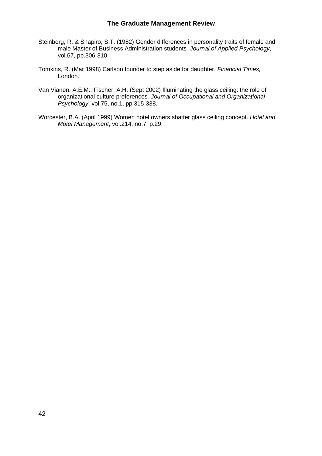- Steinberg, R. & Shapiro, S.T. (1982) Gender differences in personality traits of female and male Master of Business Administration students*. Journal of Applied Psychology*, vol.67, pp.306-310.
- Tomkins, R. (Mar 1998) Carlson founder to step aside for daughter. *Financial Times,* London.
- Van Vianen, A.E.M.; Fischer, A.H. (Sept 2002) Illuminating the glass ceiling: the role of organizational culture preferences*. Journal of Occupational and Organizational Psychology*, vol.75, no.1, pp.315-338.
- Worcester, B.A. (April 1999) Women hotel owners shatter glass ceiling concept. *Hotel and Motel Management*, vol.214, no.7, p.29.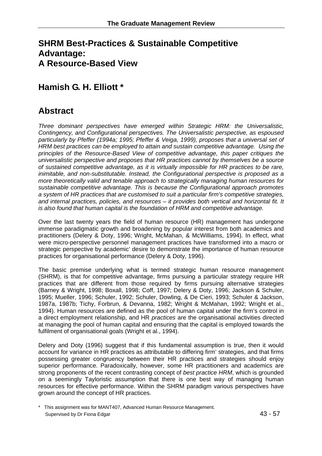# **SHRM Best-Practices & Sustainable Competitive Advantage: A Resource-Based View**

# **Hamish G. H. Elliott \***

# **Abstract**

*Three dominant perspectives have emerged within Strategic HRM: the Universalistic, Contingency, and Configurational perspectives. The Universalistic perspective, as espoused particularly by Pfeffer (1994a; 1995; Pfeffer & Veiga, 1999), proposes that a universal set of HRM best practices can be employed to attain and sustain competitive advantage. Using the principles of the Resource-Based View of competitive advantage, this paper critiques the universalistic perspective and proposes that HR practices cannot by themselves be a source of sustained competitive advantage, as it is virtually impossible for HR practices to be rare, inimitable, and non-substitutable. Instead, the Configurational perspective is proposed as a more theoretically valid and tenable approach to strategically managing human resources for sustainable competitive advantage. This is because the Configurational approach promotes a system of HR practices that are customised to suit a particular firm's competitive strategies, and internal practices, policies, and resources – it provides both vertical and horizontal fit. It is also found that human capital is the foundation of HRM and competitive advantage.* 

Over the last twenty years the field of human resource (HR) management has undergone immense paradigmatic growth and broadening by popular interest from both academics and practitioners (Delery & Doty, 1996; Wright, McMahan, & McWilliams, 1994). In effect, what were micro-perspective personnel management practices have transformed into a macro or strategic perspective by academic' desire to demonstrate the importance of human resource practices for organisational performance (Delery & Doty, 1996).

The basic premise underlying what is termed strategic human resource management (SHRM), is that for competitive advantage, firms pursuing a particular strategy require HR practices that are different from those required by firms pursuing alternative strategies (Barney & Wright, 1998; Boxall, 1998; Coff, 1997; Delery & Doty, 1996; Jackson & Schuler, 1995; Mueller, 1996; Schuler, 1992; Schuler, Dowling, & De Cieri, 1993; Schuler & Jackson, 1987a, 1987b; Tichy, Forbrun, & Devanna, 1982; Wright & McMahan, 1992; Wright et al., 1994). Human resources are defined as the pool of human capital under the firm's control in a direct employment relationship, and HR *practices* are the organisational activities directed at managing the pool of human capital and ensuring that the capital is employed towards the fulfilment of organisational goals (Wright et al., 1994).

Delery and Doty (1996) suggest that if this fundamental assumption is true, then it would account for variance in HR practices as attributable to differing firm' strategies, and that firms possessing greater congruency between their HR practices and strategies should enjoy superior performance. Paradoxically, however, some HR practitioners and academics are strong proponents of the recent contrasting concept of *best practice HRM*, which is grounded on a seemingly Tayloristic assumption that there is one best way of managing human resources for effective performance. Within the SHRM paradigm various perspectives have grown around the concept of HR practices.

\* This assignment was for MANT407, Advanced Human Resource Management. Supervised by Dr Fiona Edgar 43 - 57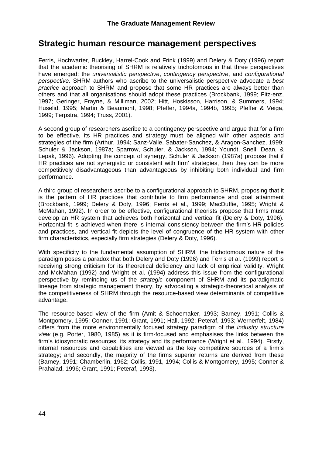# **Strategic human resource management perspectives**

Ferris, Hochwarter, Buckley, Harrel-Cook and Frink (1999) and Delery & Doty (1996) report that the academic theorising of SHRM is relatively trichotomous in that three perspectives have emerged: the *universalistic perspective*, *contingency perspective*, and *configurational perspective*. SHRM authors who ascribe to the universalistic perspective advocate a *best practice* approach to SHRM and propose that some HR practices are always better than others and that all organisations should adopt these practices (Brockbank, 1999; Fitz-enz, 1997; Geringer, Frayne, & Milliman, 2002; Hitt, Hoskisson, Harrison, & Summers, 1994; Huselid, 1995; Martin & Beaumont, 1998; Pfeffer, 1994a, 1994b, 1995; Pfeffer & Veiga, 1999; Terpstra, 1994; Truss, 2001).

A second group of researchers ascribe to a contingency perspective and argue that for a firm to be effective, its HR practices and strategy must be aligned with other aspects and strategies of the firm (Arthur, 1994; Sanz-Valle, Sabater-Sanchez, & Aragon-Sanchez, 1999; Schuler & Jackson, 1987a; Sparrow, Schuler, & Jackson, 1994; Youndt, Snell, Dean, & Lepak, 1996). Adopting the concept of synergy, Schuler & Jackson (1987a) propose that if HR practices are not synergistic or consistent with firm' strategies, then they can be more competitively disadvantageous than advantageous by inhibiting both individual and firm performance.

A third group of researchers ascribe to a configurational approach to SHRM, proposing that it is the pattern of HR practices that contribute to firm performance and goal attainment (Brockbank, 1999; Delery & Doty, 1996; Ferris et al., 1999; MacDuffie, 1995; Wright & McMahan, 1992). In order to be effective, configurational theorists propose that firms must develop an HR system that achieves both horizontal and vertical fit (Delery & Doty, 1996). Horizontal fit is achieved when there is internal consistency between the firm's HR policies and practices, and vertical fit depicts the level of congruence of the HR system with other firm characteristics, especially firm strategies (Delery & Doty, 1996).

With specificity to the fundamental assumption of SHRM, the trichotomous nature of the paradigm poses a paradox that both Delery and Doty (1996) and Ferris et al. (1999) report is receiving strong criticism for its theoretical deficiency and lack of empirical validity. Wright and McMahan (1992) and Wright et al. (1994) address this issue from the configurational perspective by reminding us of the *strategic* component of SHRM and its paradigmatic lineage from strategic management theory, by advocating a strategic-theoretical analysis of the competitiveness of SHRM through the resource-based view determinants of competitive advantage.

The resource-based view of the firm (Amit & Schoemaker, 1993; Barney, 1991; Collis & Montgomery, 1995; Conner, 1991; Grant, 1991; Hall, 1992; Peteraf, 1993; Wernerfelt, 1984) differs from the more environmentally focused strategy paradigm of the *industry structure view* (e.g. Porter, 1980, 1985) as it is firm-focused and emphasises the links between the firm's idiosyncratic resources, its strategy and its performance (Wright et al., 1994). Firstly, internal resources and capabilities are viewed as the key competitive sources of a firm's strategy; and secondly, the majority of the firms superior returns are derived from these (Barney, 1991; Chamberlin, 1962; Collis, 1991, 1994; Collis & Montgomery, 1995; Conner & Prahalad, 1996; Grant, 1991; Peteraf, 1993).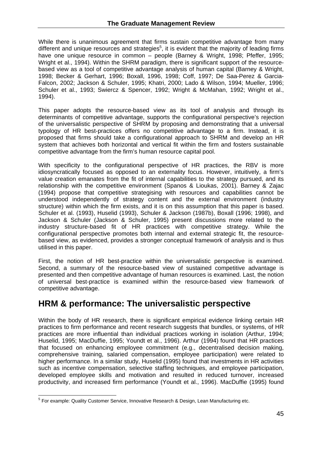While there is unanimous agreement that firms sustain competitive advantage from many different and unique resources and strategies<sup>5</sup>, it is evident that the majority of leading firms have one unique resource in common – people (Barney & Wright, 1998; Pfeffer, 1995; Wright et al., 1994). Within the SHRM paradigm, there is significant support of the resourcebased view as a tool of competitive advantage analysis of human capital (Barney & Wright, 1998; Becker & Gerhart, 1996; Boxall, 1996, 1998; Coff, 1997; De Saa-Perez & Garcia-Falcon, 2002; Jackson & Schuler, 1995; Khatri, 2000; Lado & Wilson, 1994; Mueller, 1996; Schuler et al., 1993; Swiercz & Spencer, 1992; Wright & McMahan, 1992; Wright et al., 1994).

This paper adopts the resource-based view as its tool of analysis and through its determinants of competitive advantage, supports the configurational perspective's rejection of the universalistic perspective of SHRM by proposing and demonstrating that a universal typology of HR best-practices offers no competitive advantage to a firm. Instead, it is proposed that firms should take a configurational approach to SHRM and develop an HR system that achieves both horizontal and vertical fit within the firm and fosters sustainable competitive advantage from the firm's human resource capital pool.

With specificity to the configurational perspective of HR practices, the RBV is more idiosyncratically focused as opposed to an externality focus. However, intuitively, a firm's value creation emanates from the fit of internal capabilities to the strategy pursued, and its relationship with the competitive environment (Spanos & Lioukas, 2001). Barney & Zajac (1994) propose that competitive strategising with resources and capabilities cannot be understood independently of strategy content and the external environment (industry structure) within which the firm exists, and it is on this assumption that this paper is based. Schuler et al. (1993), Huselid (1993), Schuler & Jackson (1987b), Boxall (1996; 1998), and Jackson & Schuler (Jackson & Schuler, 1995) present discussions more related to the industry structure-based fit of HR practices with competitive strategy. While the configurational perspective promotes both internal and external strategic fit, the resourcebased view, as evidenced, provides a stronger conceptual framework of analysis and is thus utilised in this paper.

First, the notion of HR best-practice within the universalistic perspective is examined. Second, a summary of the resource-based view of sustained competitive advantage is presented and then competitive advantage of human resources is examined. Last, the notion of universal best-practice is examined within the resource-based view framework of competitive advantage.

# **HRM & performance: The universalistic perspective**

Within the body of HR research, there is significant empirical evidence linking certain HR practices to firm performance and recent research suggests that bundles, or systems, of HR practices are more influential than individual practices working in isolation (Arthur, 1994; Huselid, 1995; MacDuffie, 1995; Youndt et al., 1996). Arthur (1994) found that HR practices that focused on enhancing employee commitment (e.g., decentralised decision making, comprehensive training, salaried compensation, employee participation) were related to higher performance. In a similar study, Huselid (1995) found that investments in HR activities such as incentive compensation, selective staffing techniques, and employee participation, developed employee skills and motivation and resulted in reduced turnover, increased productivity, and increased firm performance (Youndt et al., 1996). MacDuffie (1995) found

 $\overline{a}$ <sup>5</sup> For example: Quality Customer Service, Innovative Research & Design, Lean Manufacturing etc.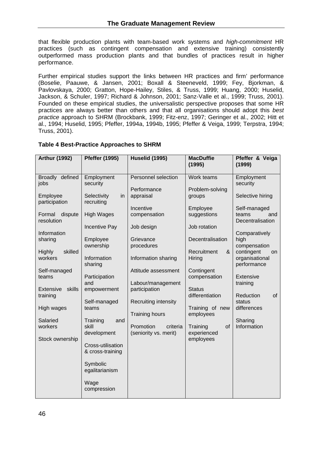that flexible production plants with team-based work systems and *high-commitment* HR practices (such as contingent compensation and extensive training) consistently outperformed mass production plants and that bundles of practices result in higher performance.

Further empirical studies support the links between HR practices and firm' performance (Boselie, Paauwe, & Jansen, 2001; Boxall & Steeneveld, 1999; Fey, Bjorkman, & Pavlovskaya, 2000; Gratton, Hope-Hailey, Stiles, & Truss, 1999; Huang, 2000; Huselid, Jackson, & Schuler, 1997; Richard & Johnson, 2001; Sanz-Valle et al., 1999; Truss, 2001). Founded on these empirical studies, the universalistic perspective proposes that some HR practices are always better than others and that all organisations should adopt this *best practice* approach to SHRM (Brockbank, 1999; Fitz-enz, 1997; Geringer et al., 2002; Hitt et al., 1994; Huselid, 1995; Pfeffer, 1994a, 1994b, 1995; Pfeffer & Veiga, 1999; Terpstra, 1994; Truss, 2001).

#### **Table 4 Best-Practice Approaches to SHRM**

| <b>Arthur (1992)</b>                                                                                                                                                       | <b>Pfeffer (1995)</b>                                                                                                                                                                | <b>Huselid (1995)</b>                                                                                                                                               | <b>MacDuffie</b><br>(1995)                                                                                                                                                      | Pfeffer & Veiga<br>(1999)                                                                                                                                                                                 |
|----------------------------------------------------------------------------------------------------------------------------------------------------------------------------|--------------------------------------------------------------------------------------------------------------------------------------------------------------------------------------|---------------------------------------------------------------------------------------------------------------------------------------------------------------------|---------------------------------------------------------------------------------------------------------------------------------------------------------------------------------|-----------------------------------------------------------------------------------------------------------------------------------------------------------------------------------------------------------|
| Broadly defined<br>jobs<br>Employee<br>participation<br>dispute<br>Formal<br>resolution<br>Information<br>sharing<br>skilled<br>Highly<br>workers<br>Self-managed<br>teams | Employment<br>security<br>Selectivity<br>in<br>recruiting<br><b>High Wages</b><br>Incentive Pay<br>Employee<br>ownership<br>Information<br>sharing<br>Participation                  | Personnel selection<br>Performance<br>appraisal<br>Incentive<br>compensation<br>Job design<br>Grievance<br>procedures<br>Information sharing<br>Attitude assessment | Work teams<br>Problem-solving<br>groups<br>Employee<br>suggestions<br>Job rotation<br>Decentralisation<br>Recruitment<br>8 <sub>x</sub><br>Hiring<br>Contingent<br>compensation | Employment<br>security<br>Selective hiring<br>Self-managed<br>teams<br>and<br>Decentralisation<br>Comparatively<br>high<br>compensation<br>contingent<br>on<br>organisational<br>performance<br>Extensive |
| Extensive<br>skills<br>training<br>High wages<br>Salaried<br>workers<br>Stock ownership                                                                                    | and<br>empowerment<br>Self-managed<br>teams<br>Training<br>and<br>skill<br>development<br>Cross-utilisation<br>& cross-training<br>Symbolic<br>egalitarianism<br>Wage<br>compression | Labour/management<br>participation<br>Recruiting intensity<br><b>Training hours</b><br>Promotion<br>criteria<br>(seniority vs. merit)                               | <b>Status</b><br>differentiation<br>Training of new<br>employees<br>Training<br>of<br>experienced<br>employees                                                                  | training<br>Reduction<br>of<br>status<br>differences<br>Sharing<br>Information                                                                                                                            |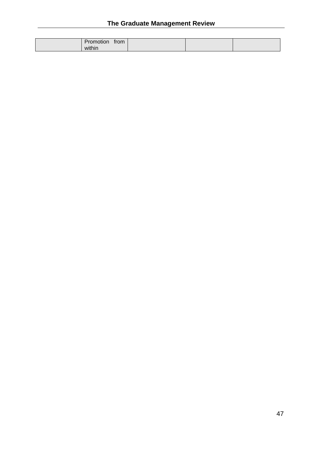# **The Graduate Management Review**

| trom   |  |
|--------|--|
| within |  |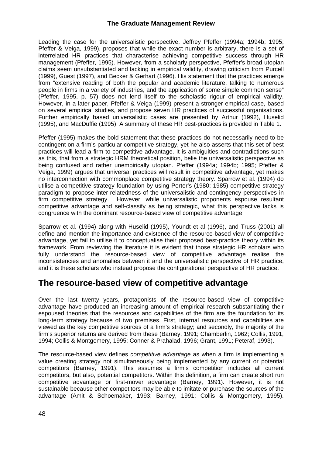Leading the case for the universalistic perspective, Jeffrey Pfeffer (1994a; 1994b; 1995; Pfeffer & Veiga, 1999), proposes that while the exact number is arbitrary, there is a set of interrelated HR practices that characterise achieving competitive success through HR management (Pfeffer, 1995). However, from a scholarly perspective, Pfeffer's broad utopian claims seem unsubstantiated and lacking in empirical validity, drawing criticism from Purcell (1999), Guest (1997), and Becker & Gerhart (1996). His statement that the practices emerge from "extensive reading of both the popular and academic literature, talking to numerous people in firms in a variety of industries, and the application of some simple common sense" (Pfeffer, 1995, p. 57) does not lend itself to the scholastic rigour of empirical validity. However, in a later paper, Pfeffer & Veiga (1999) present a stronger empirical case, based on several empirical studies, and propose seven HR practices of successful organisations. Further empirically based universalistic cases are presented by Arthur (1992), Huselid (1995), and MacDuffie (1995). A summary of these HR best-practices is provided in Table 1.

Pfeffer (1995) makes the bold statement that these practices do not necessarily need to be contingent on a firm's particular competitive strategy, yet he also asserts that this set of best practices will lead a firm to competitive advantage. It is ambiguities and contradictions such as this, that from a strategic HRM theoretical position, belie the universalistic perspective as being confused and rather unempirically utopian. Pfeffer (1994a; 1994b; 1995; Pfeffer & Veiga, 1999) argues that universal practices will result in competitive advantage, yet makes no interconnection with commonplace competitive strategy theory. Sparrow et al. (1994) do utilise a competitive strategy foundation by using Porter's (1980; 1985) competitive strategy paradigm to propose inter-relatedness of the universalistic and contingency perspectives in firm competitive strategy. However, while universalistic proponents espouse resultant competitive advantage and self-classify as being strategic, what this perspective lacks is congruence with the dominant resource-based view of competitive advantage.

Sparrow et al. (1994) along with Huselid (1995), Youndt et al (1996), and Truss (2001) all define and mention the importance and existence of the resource-based view of competitive advantage, yet fail to utilise it to conceptualise their proposed best-practice theory within its framework. From reviewing the literature it is evident that those strategic HR scholars who fully understand the resource-based view of competitive advantage realise the inconsistencies and anomalies between it and the universalistic perspective of HR practice, and it is these scholars who instead propose the configurational perspective of HR practice.

# **The resource-based view of competitive advantage**

Over the last twenty years, protagonists of the resource-based view of competitive advantage have produced an increasing amount of empirical research substantiating their espoused theories that the resources and capabilities of the firm are the foundation for its long-term strategy because of two premises. First, internal resources and capabilities are viewed as the key competitive sources of a firm's strategy; and secondly, the majority of the firm's superior returns are derived from these (Barney, 1991; Chamberlin, 1962; Collis, 1991, 1994; Collis & Montgomery, 1995; Conner & Prahalad, 1996; Grant, 1991; Peteraf, 1993).

The resource-based view defines *competitive advantage* as when a firm is implementing a value creating strategy not simultaneously being implemented by any current or potential competitors (Barney, 1991). This assumes a firm's competition includes all current competitors, but also, potential competitors. Within this definition, a firm can create short run competitive advantage or first-mover advantage (Barney, 1991). However, it is not sustainable because other competitors may be able to imitate or purchase the sources of the advantage (Amit & Schoemaker, 1993; Barney, 1991; Collis & Montgomery, 1995).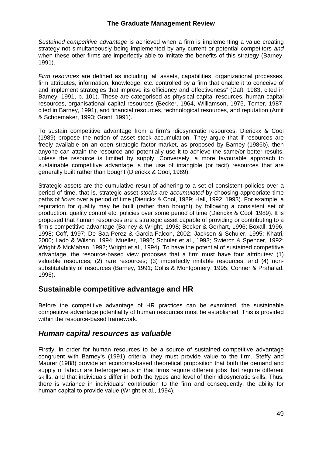*Sustained competitive advantage* is achieved when a firm is implementing a value creating strategy not simultaneously being implemented by any current or potential competitors *and* when these other firms are imperfectly able to imitate the benefits of this strategy (Barney, 1991).

*Firm resources* are defined as including "all assets, capabilities, organizational processes, firm attributes, information, knowledge, etc. controlled by a firm that enable it to conceive of and implement strategies that improve its efficiency and effectiveness" (Daft, 1983, cited in Barney, 1991, p. 101). These are categorised as physical capital resources, human capital resources, organisational capital resources (Becker, 1964, Williamson, 1975, Tomer, 1987, cited in Barney, 1991), and financial resources, technological resources, and reputation (Amit & Schoemaker, 1993; Grant, 1991).

To sustain competitive advantage from a firm's idiosyncratic resources, Dierickx & Cool (1989) propose the notion of asset stock accumulation. They argue that if resources are freely available on an open strategic factor market, as proposed by Barney (1986b), then anyone can attain the resource and potentially use it to achieve the same/or better results, unless the resource is limited by supply. Conversely, a more favourable approach to sustainable competitive advantage is the use of intangible (or tacit) resources that are generally built rather than bought (Dierickx & Cool, 1989).

Strategic assets are the cumulative result of adhering to a set of consistent policies over a period of time, that is, strategic asset *stocks* are *accumulated* by choosing appropriate time paths of *flows* over a period of time (Dierickx & Cool, 1989; Hall, 1992, 1993). For example, a reputation for quality may be built (rather than bought) by following a consistent set of production, quality control etc. policies over some period of time (Dierickx & Cool, 1989). It is proposed that human resources are a strategic asset capable of providing or contributing to a firm's competitive advantage (Barney & Wright, 1998; Becker & Gerhart, 1996; Boxall, 1996, 1998; Coff, 1997; De Saa-Perez & Garcia-Falcon, 2002; Jackson & Schuler, 1995; Khatri, 2000; Lado & Wilson, 1994; Mueller, 1996; Schuler et al., 1993; Swiercz & Spencer, 1992; Wright & McMahan, 1992; Wright et al., 1994). To have the potential of sustained competitive advantage, the resource-based view proposes that a firm must have four attributes: (1) valuable resources; (2) rare resources; (3) imperfectly imitable resources; and (4) nonsubstitutability of resources (Barney, 1991; Collis & Montgomery, 1995; Conner & Prahalad, 1996).

#### **Sustainable competitive advantage and HR**

Before the competitive advantage of HR practices can be examined, the sustainable competitive advantage potentiality of human resources must be established. This is provided within the resource-based framework.

#### *Human capital resources as valuable*

Firstly, in order for human resources to be a source of sustained competitive advantage congruent with Barney's (1991) criteria, they must provide value to the firm. Steffy and Maurer (1988) provide an economic-based theoretical proposition that both the demand and supply of labour are heterogeneous in that firms require different jobs that require different skills, and that individuals differ in both the types and level of their idiosyncratic skills. Thus, there is variance in individuals' contribution to the firm and consequently, the ability for human capital to provide value (Wright et al., 1994).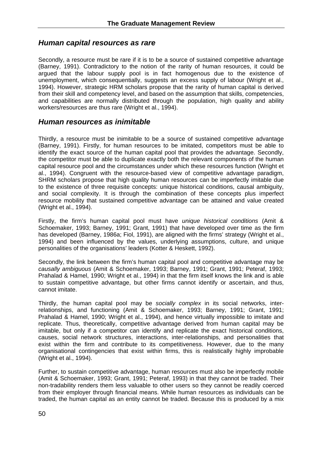#### *Human capital resources as rare*

Secondly, a resource must be rare if it is to be a source of sustained competitive advantage (Barney, 1991). Contradictory to the notion of the rarity of human resources, it could be argued that the labour supply pool is in fact homogenous due to the existence of unemployment, which consequentially, suggests an excess supply of labour (Wright et al., 1994). However, strategic HRM scholars propose that the rarity of human capital is derived from their skill and competency level, and based on the assumption that skills, competencies, and capabilities are normally distributed through the population, high quality and ability workers/resources are thus rare (Wright et al., 1994).

#### *Human resources as inimitable*

Thirdly, a resource must be inimitable to be a source of sustained competitive advantage (Barney, 1991). Firstly, for human resources to be imitated, competitors must be able to identify the exact source of the human capital pool that provides the advantage. Secondly, the competitor must be able to duplicate exactly both the relevant components of the human capital resource pool and the circumstances under which these resources function (Wright et al., 1994). Congruent with the resource-based view of competitive advantage paradigm, SHRM scholars propose that high quality human resources can be imperfectly imitable due to the existence of three requisite concepts: unique historical conditions, causal ambiguity, and social complexity. It is through the combination of these concepts plus imperfect resource mobility that sustained competitive advantage can be attained and value created (Wright et al., 1994).

Firstly, the firm's human capital pool must have *unique historical conditions* (Amit & Schoemaker, 1993; Barney, 1991; Grant, 1991) that have developed over time as the firm has developed (Barney, 1986a; Fiol, 1991), are aligned with the firms' strategy (Wright et al., 1994) and been influenced by the values, underlying assumptions, culture, and unique personalities of the organisations' leaders (Kotter & Heskett, 1992).

Secondly, the link between the firm's human capital pool and competitive advantage may be *causally ambiguous* (Amit & Schoemaker, 1993; Barney, 1991; Grant, 1991; Peteraf, 1993; Prahalad & Hamel, 1990; Wright et al., 1994) in that the firm itself knows the link and is able to sustain competitive advantage, but other firms cannot identify or ascertain, and thus, cannot imitate.

Thirdly, the human capital pool may be *socially complex* in its social networks, interrelationships, and functioning (Amit & Schoemaker, 1993; Barney, 1991; Grant, 1991; Prahalad & Hamel, 1990; Wright et al., 1994), and hence virtually impossible to imitate and replicate. Thus, theoretically, competitive advantage derived from human capital may be imitable, but only if a competitor can identify and replicate the exact historical conditions, causes, social network structures, interactions, inter-relationships, and personalities that exist within the firm and contribute to its competitiveness. However, due to the many organisational contingencies that exist within firms, this is realistically highly improbable (Wright et al., 1994).

Further, to sustain competitive advantage, human resources must also be imperfectly mobile (Amit & Schoemaker, 1993; Grant, 1991; Peteraf, 1993) in that they cannot be traded. Their non-tradability renders them less valuable to other users so they cannot be readily coerced from their employer through financial means. While human resources as individuals can be traded, the human capital as an entity cannot be traded. Because this is produced by a mix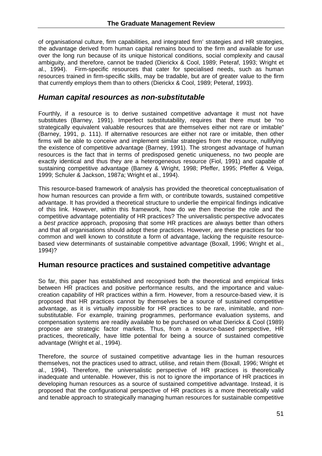of organisational culture, firm capabilities, and integrated firm' strategies and HR strategies, the advantage derived from human capital remains bound to the firm and available for use over the long run because of its unique historical conditions, social complexity and causal ambiguity, and therefore, cannot be traded (Dierickx & Cool, 1989; Peteraf, 1993; Wright et al., 1994). Firm-specific resources that cater for specialised needs, such as human resources trained in firm-specific skills, may be tradable, but are of greater value to the firm that currently employs them than to others (Dierickx & Cool, 1989; Peteraf, 1993).

#### *Human capital resources as non-substitutable*

Fourthly, if a resource is to derive sustained competitive advantage it must not have substitutes (Barney, 1991). Imperfect substitutability, requires that there must be "no strategically equivalent valuable resources that are themselves either not rare or imitable" (Barney, 1991, p. 111). If alternative resources are either not rare or imitable, then other firms will be able to conceive and implement similar strategies from the resource, nullifying the existence of competitive advantage (Barney, 1991). The strongest advantage of human resources is the fact that in terms of predisposed genetic uniqueness, no two people are exactly identical and thus they are a heterogeneous resource (Fiol, 1991) and capable of sustaining competitive advantage (Barney & Wright, 1998; Pfeffer, 1995; Pfeffer & Veiga, 1999; Schuler & Jackson, 1987a; Wright et al., 1994).

This resource-based framework of analysis has provided the theoretical conceptualisation of how human resources can provide a firm with, or contribute towards, sustained competitive advantage. It has provided a theoretical structure to underlie the empirical findings indicative of this link. However, within this framework, how do we then theorise the role and the competitive advantage potentiality of HR practices? The universalistic perspective advocates a *best practice* approach, proposing that some HR practices are always better than others and that all organisations should adopt these practices. However, are these practices far too common and well known to constitute a form of advantage, lacking the requisite resourcebased view determinants of sustainable competitive advantage (Boxall, 1996; Wright et al., 1994)?

#### **Human resource practices and sustained competitive advantage**

So far, this paper has established and recognised both the theoretical and empirical links between HR practices and positive performance results, and the importance and valuecreation capability of HR practices within a firm. However, from a resource-based view, it is proposed that HR practices cannot by themselves be a source of sustained competitive advantage, as it is virtually impossible for HR practices to be rare, inimitable, and nonsubstitutable. For example, training programmes, performance evaluation systems, and compensation systems are readily available to be purchased on what Dierickx & Cool (1989) propose are strategic factor markets. Thus, from a resource-based perspective, HR practices, theoretically, have little potential for being a source of sustained competitive advantage (Wright et al., 1994).

Therefore, the *source* of sustained competitive advantage lies in the human resources themselves, not the practices used to attract, utilise, and retain them (Boxall, 1996; Wright et al., 1994). Therefore, the universalistic perspective of HR practices is theoretically inadequate and untenable. However, this is not to ignore the importance of HR practices in developing human resources as a source of sustained competitive advantage. Instead, it is proposed that the configurational perspective of HR practices is a more theoretically valid and tenable approach to strategically managing human resources for sustainable competitive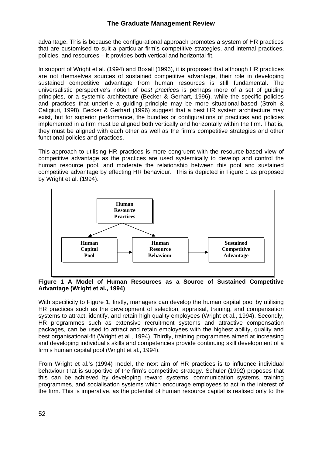advantage. This is because the configurational approach promotes a system of HR practices that are customised to suit a particular firm's competitive strategies, and internal practices, policies, and resources – it provides both vertical and horizontal fit.

In support of Wright et al. (1994) and Boxall (1996), it is proposed that although HR practices are not themselves sources of sustained competitive advantage, their role in developing sustained competitive advantage from human resources is still fundamental. The universalistic perspective's notion of *best practices* is perhaps more of a set of guiding principles, or a systemic architecture (Becker & Gerhart, 1996), while the specific policies and practices that underlie a guiding principle may be more situational-based (Stroh & Caligiuri, 1998). Becker & Gerhart (1996) suggest that a best HR system architecture may exist, but for superior performance, the bundles or configurations of practices and policies implemented in a firm must be aligned both vertically and horizontally within the firm. That is, they must be aligned with each other as well as the firm's competitive strategies and other functional policies and practices.

This approach to utilising HR practices is more congruent with the resource-based view of competitive advantage as the practices are used systemically to develop and control the human resource pool, and moderate the relationship between this pool and sustained competitive advantage by effecting HR behaviour. This is depicted in Figure 1 as proposed by Wright et al. (1994).



#### **Figure 1 A Model of Human Resources as a Source of Sustained Competitive Advantage (Wright et al., 1994)**

With specificity to Figure 1, firstly, managers can develop the human capital pool by utilising HR practices such as the development of selection, appraisal, training, and compensation systems to attract, identify, and retain high quality employees (Wright et al., 1994). Secondly, HR programmes such as extensive recruitment systems and attractive compensation packages, can be used to attract and retain employees with the highest ability, quality and best organisational-fit (Wright et al., 1994). Thirdly, training programmes aimed at increasing and developing individual's skills and competencies provide continuing skill development of a firm's human capital pool (Wright et al., 1994).

From Wright et al.'s (1994) model, the next aim of HR practices is to influence individual behaviour that is supportive of the firm's competitive strategy. Schuler (1992) proposes that this can be achieved by developing reward systems, communication systems, training programmes, and socialisation systems which encourage employees to act in the interest of the firm. This is imperative, as the potential of human resource capital is realised only to the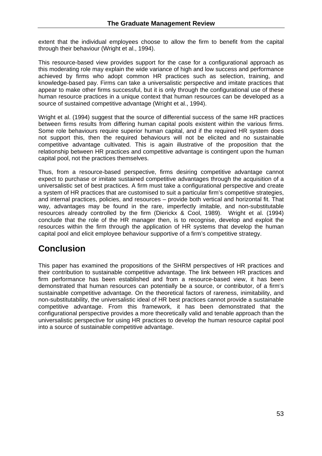extent that the individual employees choose to allow the firm to benefit from the capital through their behaviour (Wright et al., 1994).

This resource-based view provides support for the case for a configurational approach as this moderating role may explain the wide variance of high and low success and performance achieved by firms who adopt common HR practices such as selection, training, and knowledge-based pay. Firms can take a universalistic perspective and imitate practices that appear to make other firms successful, but it is only through the configurational use of these human resource practices in a unique context that human resources can be developed as a source of sustained competitive advantage (Wright et al., 1994).

Wright et al. (1994) suggest that the source of differential success of the same HR practices between firms results from differing human capital pools existent within the various firms. Some role behaviours require superior human capital, and if the required HR system does not support this, then the required behaviours will not be elicited and no sustainable competitive advantage cultivated. This is again illustrative of the proposition that the relationship between HR practices and competitive advantage is contingent upon the human capital pool, not the practices themselves.

Thus, from a resource-based perspective, firms desiring competitive advantage cannot expect to purchase or imitate sustained competitive advantages through the acquisition of a universalistic set of best practices. A firm must take a configurational perspective and create a system of HR practices that are customised to suit a particular firm's competitive strategies, and internal practices, policies, and resources – provide both vertical and horizontal fit. That way, advantages may be found in the rare, imperfectly imitable, and non-substitutable resources already controlled by the firm (Dierickx & Cool, 1989). Wright et al. (1994) conclude that the role of the HR manager then, is to recognise, develop and exploit the resources within the firm through the application of HR systems that develop the human capital pool and elicit employee behaviour supportive of a firm's competitive strategy.

# **Conclusion**

This paper has examined the propositions of the SHRM perspectives of HR practices and their contribution to sustainable competitive advantage. The link between HR practices and firm performance has been established and from a resource-based view, it has been demonstrated that human resources can potentially be a source, or contributor, of a firm's sustainable competitive advantage. On the theoretical factors of rareness, inimitability, and non-substitutability, the universalistic ideal of HR best practices cannot provide a sustainable competitive advantage. From this framework, it has been demonstrated that the configurational perspective provides a more theoretically valid and tenable approach than the universalistic perspective for using HR practices to develop the human resource capital pool into a source of sustainable competitive advantage.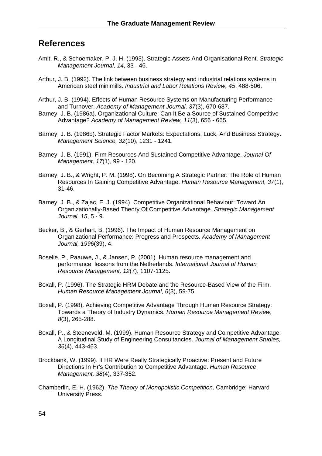# **References**

- Amit, R., & Schoemaker, P. J. H. (1993). Strategic Assets And Organisational Rent. *Strategic Management Journal, 14*, 33 - 46.
- Arthur, J. B. (1992). The link between business strategy and industrial relations systems in American steel minimills. *Industrial and Labor Relations Review, 45*, 488-506.
- Arthur, J. B. (1994). Effects of Human Resource Systems on Manufacturing Performance and Turnover. *Academy of Management Journal, 37*(3), 670-687.
- Barney, J. B. (1986a). Organizational Culture: Can It Be a Source of Sustained Competitive Advantage? *Academy of Management Review, 11*(3), 656 - 665.
- Barney, J. B. (1986b). Strategic Factor Markets: Expectations, Luck, And Business Strategy. *Management Science, 32*(10), 1231 - 1241.
- Barney, J. B. (1991). Firm Resources And Sustained Competitive Advantage. *Journal Of Management, 17*(1), 99 - 120.
- Barney, J. B., & Wright, P. M. (1998). On Becoming A Strategic Partner: The Role of Human Resources In Gaining Competitive Advantage. *Human Resource Management, 37*(1), 31-46.
- Barney, J. B., & Zajac, E. J. (1994). Competitive Organizational Behaviour: Toward An Organizationally-Based Theory Of Competitive Advantage. *Strategic Management Journal, 15*, 5 - 9.
- Becker, B., & Gerhart, B. (1996). The Impact of Human Resource Management on Organizational Performance: Progress and Prospects. *Academy of Management Journal, 1996*(39), 4.
- Boselie, P., Paauwe, J., & Jansen, P. (2001). Human resource management and performance: lessons from the Netherlands. *International Journal of Human Resource Management, 12*(7), 1107-1125.
- Boxall, P. (1996). The Strategic HRM Debate and the Resource-Based View of the Firm. *Human Resource Management Journal, 6*(3), 59-75.
- Boxall, P. (1998). Achieving Competitive Advantage Through Human Resource Strategy: Towards a Theory of Industry Dynamics. *Human Resource Management Review, 8*(3), 265-288.
- Boxall, P., & Steeneveld, M. (1999). Human Resource Strategy and Competitive Advantage: A Longitudinal Study of Engineering Consultancies. *Journal of Management Studies, 36*(4), 443-463.
- Brockbank, W. (1999). If HR Were Really Strategically Proactive: Present and Future Directions In Hr's Contribution to Competitive Advantage. *Human Resource Management, 38*(4), 337-352.
- Chamberlin, E. H. (1962). *The Theory of Monopolistic Competition*. Cambridge: Harvard University Press.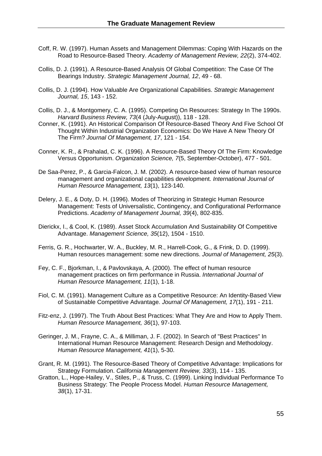- Coff, R. W. (1997). Human Assets and Management Dilemmas: Coping With Hazards on the Road to Resource-Based Theory. *Academy of Management Review, 22*(2), 374-402.
- Collis, D. J. (1991). A Resource-Based Analysis Of Global Competition: The Case Of The Bearings Industry. *Strategic Management Journal, 12*, 49 - 68.
- Collis, D. J. (1994). How Valuable Are Organizational Capabilities. *Strategic Management Journal, 15*, 143 - 152.
- Collis, D. J., & Montgomery, C. A. (1995). Competing On Resources: Strategy In The 1990s. *Harvard Business Review, 73*(4 (July-August)), 118 - 128.
- Conner, K. (1991). An Historical Comparison Of Resource-Based Theory And Five School Of Thought Within Industrial Organization Economics: Do We Have A New Theory Of The Firm? *Journal Of Management, 17*, 121 - 154.
- Conner, K. R., & Prahalad, C. K. (1996). A Resource-Based Theory Of The Firm: Knowledge Versus Opportunism. *Organization Science, 7*(5, September-October), 477 - 501.
- De Saa-Perez, P., & Garcia-Falcon, J. M. (2002). A resource-based view of human resource management and organizational capabilities development. *International Journal of Human Resource Management, 13*(1), 123-140.
- Delery, J. E., & Doty, D. H. (1996). Modes of Theorizing in Strategic Human Resource Management: Tests of Universalistic, Contingency, and Configurational Performance Predictions. *Academy of Management Journal, 39*(4), 802-835.
- Dierickx, I., & Cool, K. (1989). Asset Stock Accumulation And Sustainability Of Competitive Advantage. *Management Science, 35*(12), 1504 - 1510.
- Ferris, G. R., Hochwarter, W. A., Buckley, M. R., Harrell-Cook, G., & Frink, D. D. (1999). Human resources management: some new directions. *Journal of Management, 25*(3).
- Fey, C. F., Bjorkman, I., & Pavlovskaya, A. (2000). The effect of human resource management practices on firm performance in Russia. *International Journal of Human Resource Management, 11*(1), 1-18.
- Fiol, C. M. (1991). Management Culture as a Competitive Resource: An Identity-Based View of Sustainable Competitive Advantage. *Journal Of Management, 17*(1), 191 - 211.
- Fitz-enz, J. (1997). The Truth About Best Practices: What They Are and How to Apply Them. *Human Resource Management, 36*(1), 97-103.
- Geringer, J. M., Frayne, C. A., & Milliman, J. F. (2002). In Search of "Best Practices" In International Human Resource Management: Research Design and Methodology. *Human Resource Management, 41*(1), 5-30.
- Grant, R. M. (1991). The Resource-Based Theory of Competitive Advantage: Implications for Strategy Formulation. *California Management Review, 33*(3), 114 - 135.
- Gratton, L., Hope-Hailey, V., Stiles, P., & Truss, C. (1999). Linking Individual Performance To Business Strategy: The People Process Model. *Human Resource Management, 38*(1), 17-31.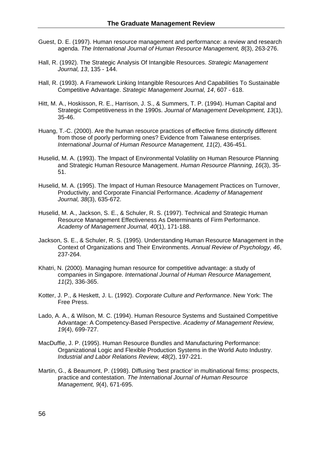- Guest, D. E. (1997). Human resource management and performance: a review and research agenda. *The International Journal of Human Resource Management, 8*(3), 263-276.
- Hall, R. (1992). The Strategic Analysis Of Intangible Resources. *Strategic Management Journal, 13*, 135 - 144.
- Hall, R. (1993). A Framework Linking Intangible Resources And Capabilities To Sustainable Competitive Advantage. *Strategic Management Journal, 14*, 607 - 618.
- Hitt, M. A., Hoskisson, R. E., Harrison, J. S., & Summers, T. P. (1994). Human Capital and Strategic Competitiveness in the 1990s. *Journal of Management Development, 13*(1), 35-46.
- Huang, T.-C. (2000). Are the human resource practices of effective firms distinctly different from those of poorly performing ones? Evidence from Taiwanese enterprises. *International Journal of Human Resource Management, 11*(2), 436-451.
- Huselid, M. A. (1993). The Impact of Environmental Volatility on Human Resource Planning and Strategic Human Resource Management. *Human Resource Planning, 16*(3), 35- 51.
- Huselid, M. A. (1995). The Impact of Human Resource Management Practices on Turnover, Productivity, and Corporate Financial Performance. *Academy of Management Journal, 38*(3), 635-672.
- Huselid, M. A., Jackson, S. E., & Schuler, R. S. (1997). Technical and Strategic Human Resource Management Effectiveness As Determinants of Firm Performance. *Academy of Management Journal, 40*(1), 171-188.
- Jackson, S. E., & Schuler, R. S. (1995). Understanding Human Resource Management in the Context of Organizations and Their Environments. *Annual Review of Psychology, 46*, 237-264.
- Khatri, N. (2000). Managing human resource for competitive advantage: a study of companies in Singapore. *International Journal of Human Resource Management, 11*(2), 336-365.
- Kotter, J. P., & Heskett, J. L. (1992). *Corporate Culture and Performance*. New York: The Free Press.
- Lado, A. A., & Wilson, M. C. (1994). Human Resource Systems and Sustained Competitive Advantage: A Competency-Based Perspective. *Academy of Management Review, 19*(4), 699-727.
- MacDuffie, J. P. (1995). Human Resource Bundles and Manufacturing Performance: Organizational Logic and Flexible Production Systems in the World Auto Industry. *Industrial and Labor Relations Review, 48*(2), 197-221.
- Martin, G., & Beaumont, P. (1998). Diffusing 'best practice' in multinational firms: prospects, practice and contestation. *The International Journal of Human Resource Management, 9*(4), 671-695.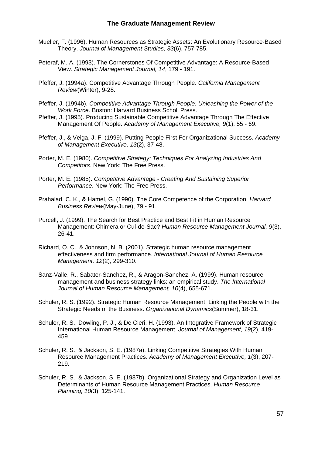- Mueller, F. (1996). Human Resources as Strategic Assets: An Evolutionary Resource-Based Theory. *Journal of Management Studies, 33*(6), 757-785.
- Peteraf, M. A. (1993). The Cornerstones Of Competitive Advantage: A Resource-Based View. *Strategic Management Journal, 14*, 179 - 191.
- Pfeffer, J. (1994a). Competitive Advantage Through People. *California Management Review*(Winter), 9-28.
- Pfeffer, J. (1994b). *Competitive Advantage Through People: Unleashing the Power of the Work Force*. Boston: Harvard Business Scholl Press.
- Pfeffer, J. (1995). Producing Sustainable Competitive Advantage Through The Effective Management Of People. *Academy of Management Executive, 9*(1), 55 - 69.
- Pfeffer, J., & Veiga, J. F. (1999). Putting People First For Organizational Success. *Academy of Management Executive, 13*(2), 37-48.
- Porter, M. E. (1980). *Competitive Strategy: Techniques For Analyzing Industries And Competitors*. New York: The Free Press.
- Porter, M. E. (1985). *Competitive Advantage Creating And Sustaining Superior Performance*. New York: The Free Press.
- Prahalad, C. K., & Hamel, G. (1990). The Core Competence of the Corporation. *Harvard Business Review*(May-June), 79 - 91.
- Purcell, J. (1999). The Search for Best Practice and Best Fit in Human Resource Management: Chimera or Cul-de-Sac? *Human Resource Management Journal, 9*(3), 26-41.
- Richard, O. C., & Johnson, N. B. (2001). Strategic human resource management effectiveness and firm performance. *International Journal of Human Resource Management, 12*(2), 299-310.
- Sanz-Valle, R., Sabater-Sanchez, R., & Aragon-Sanchez, A. (1999). Human resource management and business strategy links: an empirical study. *The International Journal of Human Resource Management, 10*(4), 655-671.
- Schuler, R. S. (1992). Strategic Human Resource Management: Linking the People with the Strategic Needs of the Business. *Organizational Dynamics*(Summer), 18-31.
- Schuler, R. S., Dowling, P. J., & De Cieri, H. (1993). An Integrative Framework of Strategic International Human Resource Management. *Journal of Management, 19*(2), 419- 459.
- Schuler, R. S., & Jackson, S. E. (1987a). Linking Competitive Strategies With Human Resource Management Practices. *Academy of Management Executive, 1*(3), 207- 219.
- Schuler, R. S., & Jackson, S. E. (1987b). Organizational Strategy and Organization Level as Determinants of Human Resource Management Practices. *Human Resource Planning, 10*(3), 125-141.